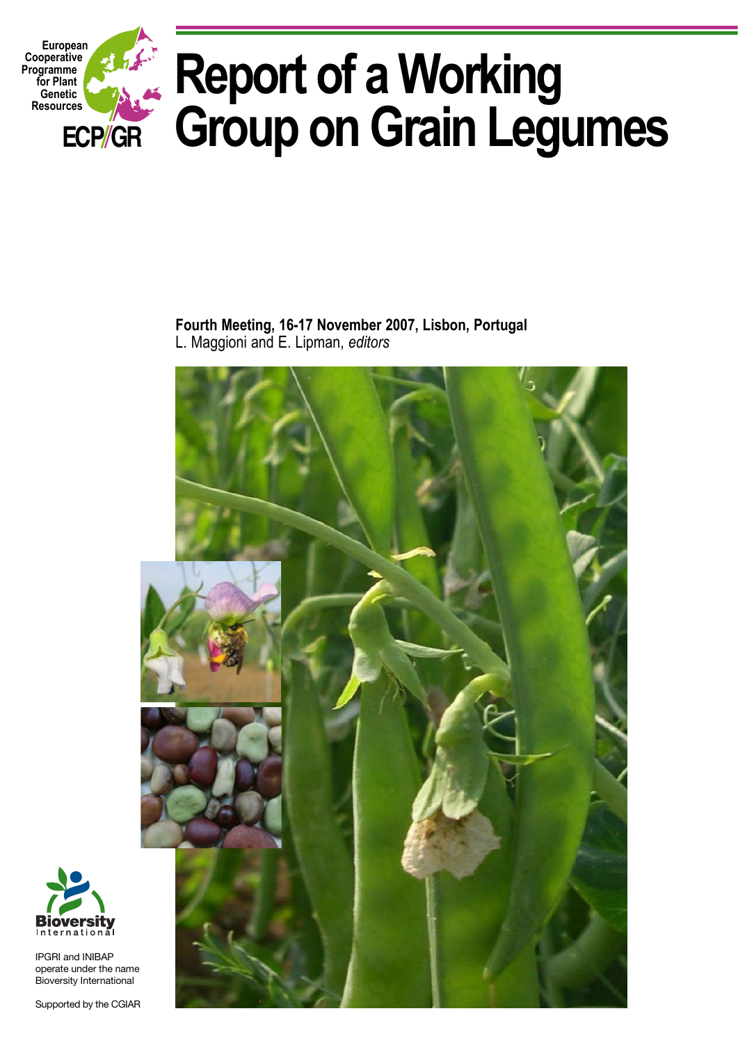

**Fourth Meeting, 16-17 November 2007, Lisbon, Portugal**  L. Maggioni and E. Lipman, *editors*





IPGRI and INIBAP operate under the name Bioversity International

Supported by the CGIAR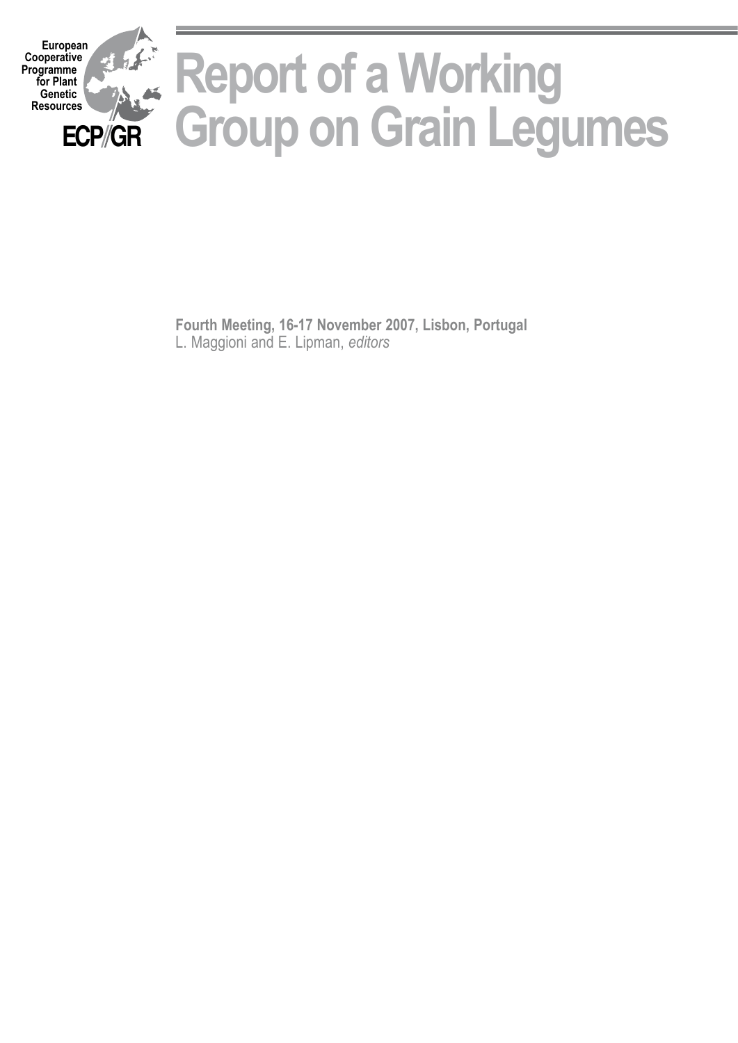

**Fourth Meeting, 16-17 November 2007, Lisbon, Portugal**  L. Maggioni and E. Lipman, *editors*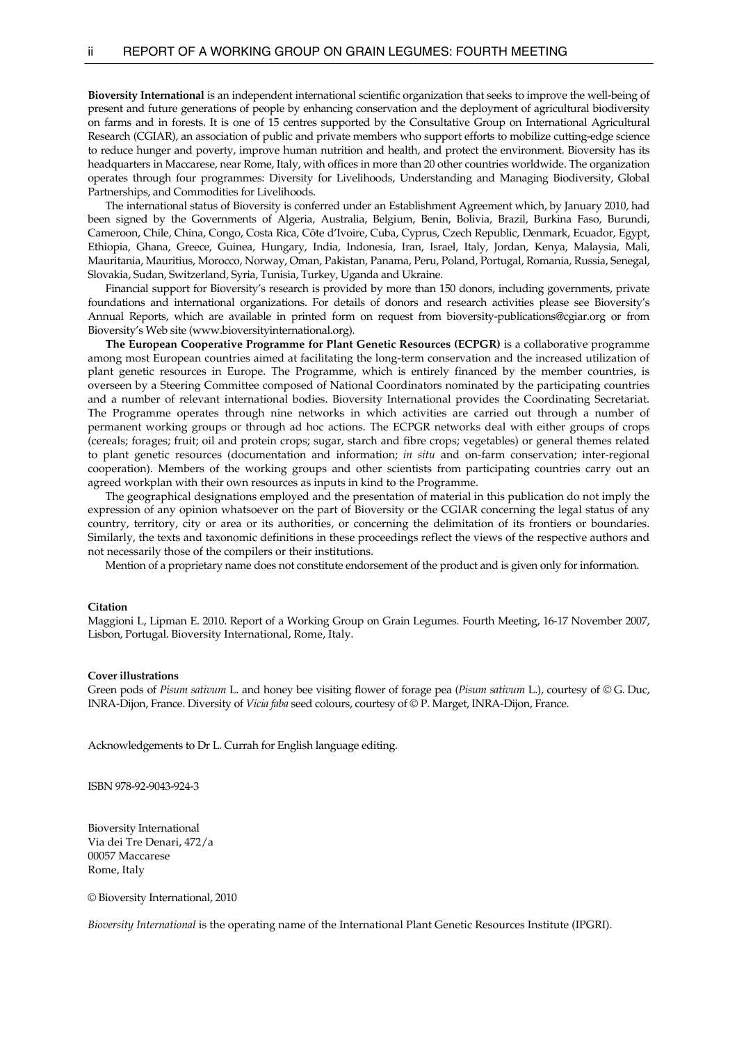**Bioversity International** is an independent international scientific organization that seeks to improve the well-being of present and future generations of people by enhancing conservation and the deployment of agricultural biodiversity on farms and in forests. It is one of 15 centres supported by the Consultative Group on International Agricultural Research (CGIAR), an association of public and private members who support efforts to mobilize cutting-edge science to reduce hunger and poverty, improve human nutrition and health, and protect the environment. Bioversity has its headquarters in Maccarese, near Rome, Italy, with offices in more than 20 other countries worldwide. The organization operates through four programmes: Diversity for Livelihoods, Understanding and Managing Biodiversity, Global Partnerships, and Commodities for Livelihoods.

 The international status of Bioversity is conferred under an Establishment Agreement which, by January 2010, had been signed by the Governments of Algeria, Australia, Belgium, Benin, Bolivia, Brazil, Burkina Faso, Burundi, Cameroon, Chile, China, Congo, Costa Rica, Côte d'Ivoire, Cuba, Cyprus, Czech Republic, Denmark, Ecuador, Egypt, Ethiopia, Ghana, Greece, Guinea, Hungary, India, Indonesia, Iran, Israel, Italy, Jordan, Kenya, Malaysia, Mali, Mauritania, Mauritius, Morocco, Norway, Oman, Pakistan, Panama, Peru, Poland, Portugal, Romania, Russia, Senegal, Slovakia, Sudan, Switzerland, Syria, Tunisia, Turkey, Uganda and Ukraine.

 Financial support for Bioversity's research is provided by more than 150 donors, including governments, private foundations and international organizations. For details of donors and research activities please see Bioversity's Annual Reports, which are available in printed form on request from bioversity-publications@cgiar.org or from Bioversity's Web site (www.bioversityinternational.org).

 **The European Cooperative Programme for Plant Genetic Resources (ECPGR)** is a collaborative programme among most European countries aimed at facilitating the long-term conservation and the increased utilization of plant genetic resources in Europe. The Programme, which is entirely financed by the member countries, is overseen by a Steering Committee composed of National Coordinators nominated by the participating countries and a number of relevant international bodies. Bioversity International provides the Coordinating Secretariat. The Programme operates through nine networks in which activities are carried out through a number of permanent working groups or through ad hoc actions. The ECPGR networks deal with either groups of crops (cereals; forages; fruit; oil and protein crops; sugar, starch and fibre crops; vegetables) or general themes related to plant genetic resources (documentation and information; *in situ* and on-farm conservation; inter-regional cooperation). Members of the working groups and other scientists from participating countries carry out an agreed workplan with their own resources as inputs in kind to the Programme.

 The geographical designations employed and the presentation of material in this publication do not imply the expression of any opinion whatsoever on the part of Bioversity or the CGIAR concerning the legal status of any country, territory, city or area or its authorities, or concerning the delimitation of its frontiers or boundaries. Similarly, the texts and taxonomic definitions in these proceedings reflect the views of the respective authors and not necessarily those of the compilers or their institutions.

Mention of a proprietary name does not constitute endorsement of the product and is given only for information.

#### **Citation**

Maggioni L, Lipman E. 2010. Report of a Working Group on Grain Legumes. Fourth Meeting, 16-17 November 2007, Lisbon, Portugal. Bioversity International, Rome, Italy.

#### **Cover illustrations**

Green pods of *Pisum sativum* L. and honey bee visiting flower of forage pea (*Pisum sativum* L.), courtesy of © G. Duc, INRA-Dijon, France. Diversity of *Vicia faba* seed colours, courtesy of © P. Marget, INRA-Dijon, France.

Acknowledgements to Dr L. Currah for English language editing.

ISBN 978-92-9043-924-3

Bioversity International Via dei Tre Denari, 472/a 00057 Maccarese Rome, Italy

© Bioversity International, 2010

*Bioversity International* is the operating name of the International Plant Genetic Resources Institute (IPGRI).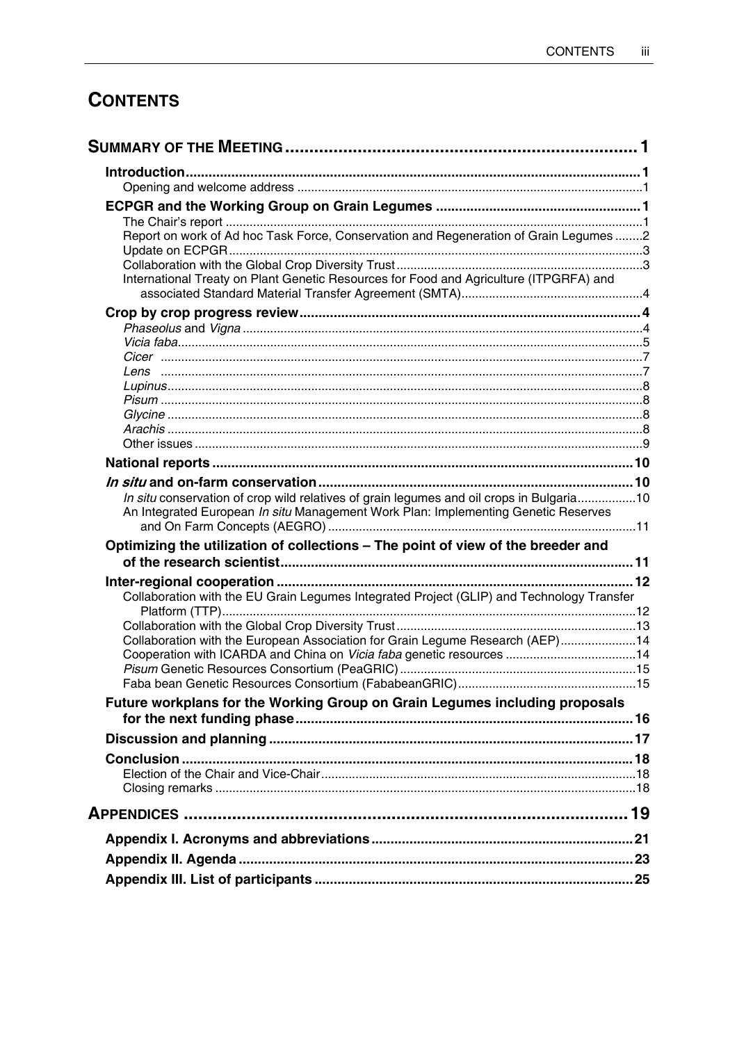# **CONTENTS**

| Report on work of Ad hoc Task Force, Conservation and Regeneration of Grain Legumes 2     |  |
|-------------------------------------------------------------------------------------------|--|
|                                                                                           |  |
| International Treaty on Plant Genetic Resources for Food and Agriculture (ITPGRFA) and    |  |
|                                                                                           |  |
|                                                                                           |  |
|                                                                                           |  |
|                                                                                           |  |
|                                                                                           |  |
|                                                                                           |  |
|                                                                                           |  |
|                                                                                           |  |
|                                                                                           |  |
|                                                                                           |  |
|                                                                                           |  |
|                                                                                           |  |
| In situ conservation of crop wild relatives of grain legumes and oil crops in Bulgaria10  |  |
| An Integrated European In situ Management Work Plan: Implementing Genetic Reserves        |  |
|                                                                                           |  |
| Optimizing the utilization of collections - The point of view of the breeder and          |  |
|                                                                                           |  |
| Collaboration with the EU Grain Legumes Integrated Project (GLIP) and Technology Transfer |  |
|                                                                                           |  |
|                                                                                           |  |
| Collaboration with the European Association for Grain Legume Research (AEP)14             |  |
| Cooperation with ICARDA and China on Vicia faba genetic resources  14                     |  |
|                                                                                           |  |
|                                                                                           |  |
| Future workplans for the Working Group on Grain Legumes including proposals               |  |
|                                                                                           |  |
|                                                                                           |  |
|                                                                                           |  |
|                                                                                           |  |
|                                                                                           |  |
|                                                                                           |  |
|                                                                                           |  |
|                                                                                           |  |
|                                                                                           |  |
|                                                                                           |  |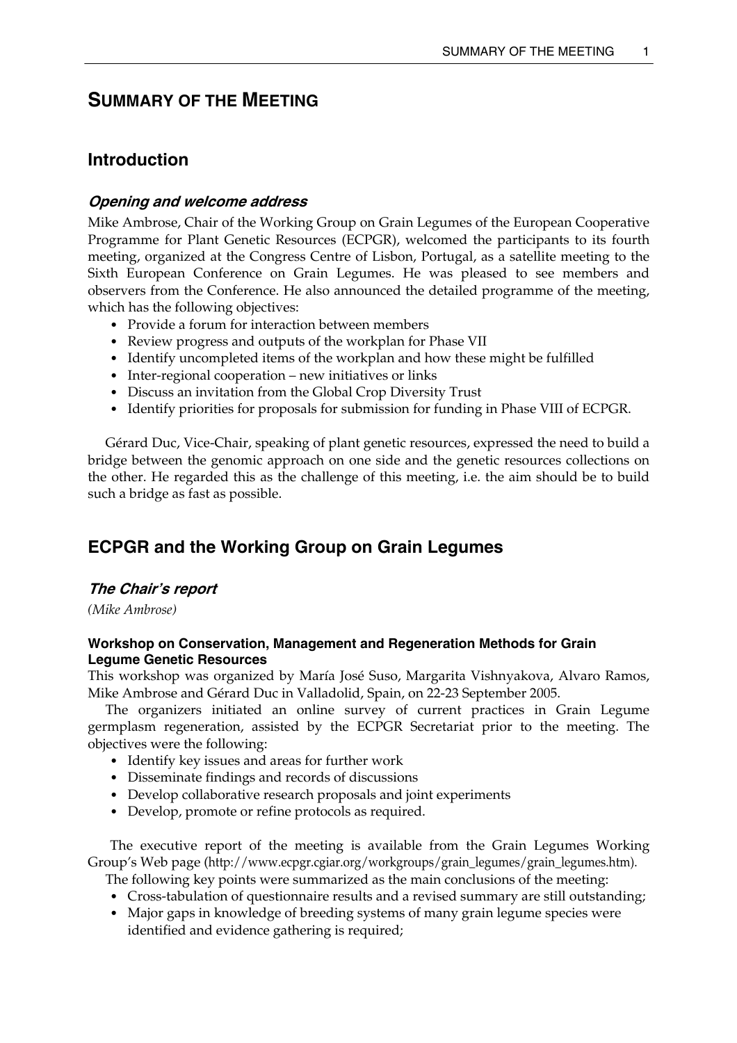# **SUMMARY OF THE MEETING**

# **Introduction**

## **Opening and welcome address**

Mike Ambrose, Chair of the Working Group on Grain Legumes of the European Cooperative Programme for Plant Genetic Resources (ECPGR), welcomed the participants to its fourth meeting, organized at the Congress Centre of Lisbon, Portugal, as a satellite meeting to the Sixth European Conference on Grain Legumes. He was pleased to see members and observers from the Conference. He also announced the detailed programme of the meeting, which has the following objectives:

- Provide a forum for interaction between members
- Review progress and outputs of the workplan for Phase VII
- Identify uncompleted items of the workplan and how these might be fulfilled
- Inter-regional cooperation new initiatives or links
- Discuss an invitation from the Global Crop Diversity Trust
- Identify priorities for proposals for submission for funding in Phase VIII of ECPGR.

 Gérard Duc, Vice-Chair, speaking of plant genetic resources, expressed the need to build a bridge between the genomic approach on one side and the genetic resources collections on the other. He regarded this as the challenge of this meeting, i.e. the aim should be to build such a bridge as fast as possible.

# **ECPGR and the Working Group on Grain Legumes**

# **The Chair's report**

*(Mike Ambrose)* 

# **Workshop on Conservation, Management and Regeneration Methods for Grain Legume Genetic Resources**

This workshop was organized by María José Suso, Margarita Vishnyakova, Alvaro Ramos, Mike Ambrose and Gérard Duc in Valladolid, Spain, on 22-23 September 2005.

 The organizers initiated an online survey of current practices in Grain Legume germplasm regeneration, assisted by the ECPGR Secretariat prior to the meeting. The objectives were the following:

- Identify key issues and areas for further work
- Disseminate findings and records of discussions
- Develop collaborative research proposals and joint experiments
- Develop, promote or refine protocols as required.

The executive report of the meeting is available from the Grain Legumes Working Group's Web page (http://www.ecpgr.cgiar.org/workgroups/grain\_legumes/grain\_legumes.htm).

The following key points were summarized as the main conclusions of the meeting:

- Cross-tabulation of questionnaire results and a revised summary are still outstanding;
- Major gaps in knowledge of breeding systems of many grain legume species were identified and evidence gathering is required;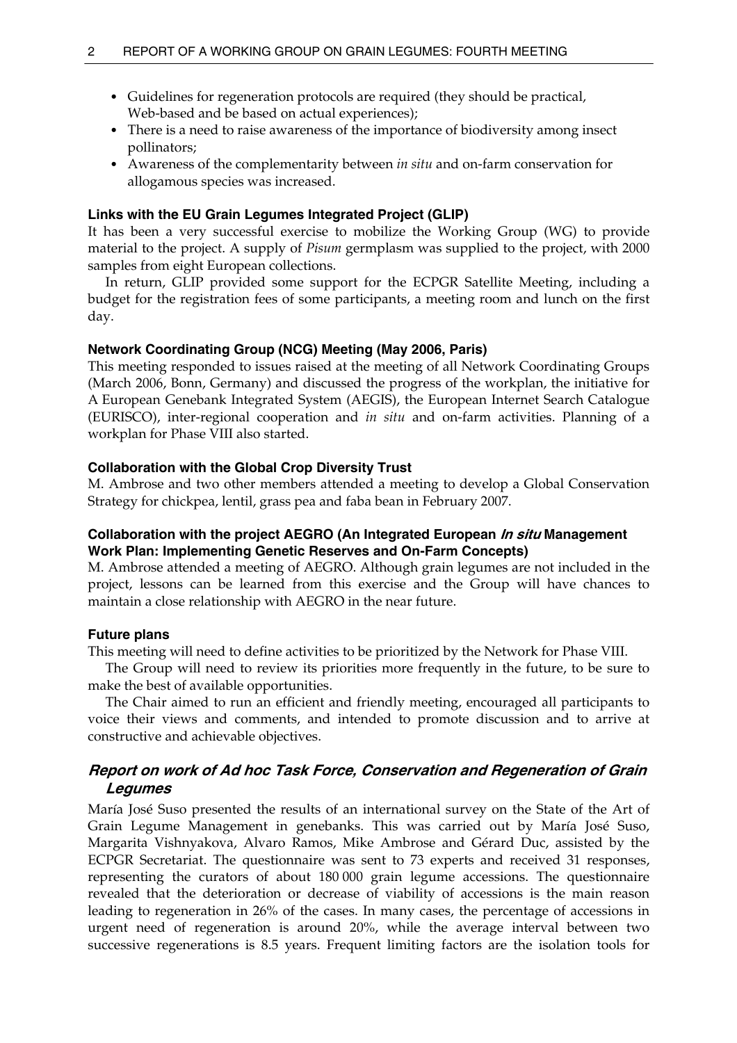- Guidelines for regeneration protocols are required (they should be practical, Web-based and be based on actual experiences);
- There is a need to raise awareness of the importance of biodiversity among insect pollinators;
- Awareness of the complementarity between *in situ* and on-farm conservation for allogamous species was increased.

## **Links with the EU Grain Legumes Integrated Project (GLIP)**

It has been a very successful exercise to mobilize the Working Group (WG) to provide material to the project. A supply of *Pisum* germplasm was supplied to the project, with 2000 samples from eight European collections.

 In return, GLIP provided some support for the ECPGR Satellite Meeting, including a budget for the registration fees of some participants, a meeting room and lunch on the first day.

### **Network Coordinating Group (NCG) Meeting (May 2006, Paris)**

This meeting responded to issues raised at the meeting of all Network Coordinating Groups (March 2006, Bonn, Germany) and discussed the progress of the workplan, the initiative for A European Genebank Integrated System (AEGIS), the European Internet Search Catalogue (EURISCO), inter-regional cooperation and *in situ* and on-farm activities. Planning of a workplan for Phase VIII also started.

## **Collaboration with the Global Crop Diversity Trust**

M. Ambrose and two other members attended a meeting to develop a Global Conservation Strategy for chickpea, lentil, grass pea and faba bean in February 2007.

# **Collaboration with the project AEGRO (An Integrated European In situ Management Work Plan: Implementing Genetic Reserves and On-Farm Concepts)**

M. Ambrose attended a meeting of AEGRO. Although grain legumes are not included in the project, lessons can be learned from this exercise and the Group will have chances to maintain a close relationship with AEGRO in the near future.

### **Future plans**

This meeting will need to define activities to be prioritized by the Network for Phase VIII.

 The Group will need to review its priorities more frequently in the future, to be sure to make the best of available opportunities.

 The Chair aimed to run an efficient and friendly meeting, encouraged all participants to voice their views and comments, and intended to promote discussion and to arrive at constructive and achievable objectives.

# **Report on work of Ad hoc Task Force, Conservation and Regeneration of Grain Legumes**

María José Suso presented the results of an international survey on the State of the Art of Grain Legume Management in genebanks. This was carried out by María José Suso, Margarita Vishnyakova, Alvaro Ramos, Mike Ambrose and Gérard Duc, assisted by the ECPGR Secretariat. The questionnaire was sent to 73 experts and received 31 responses, representing the curators of about 180 000 grain legume accessions. The questionnaire revealed that the deterioration or decrease of viability of accessions is the main reason leading to regeneration in 26% of the cases. In many cases, the percentage of accessions in urgent need of regeneration is around 20%, while the average interval between two successive regenerations is 8.5 years. Frequent limiting factors are the isolation tools for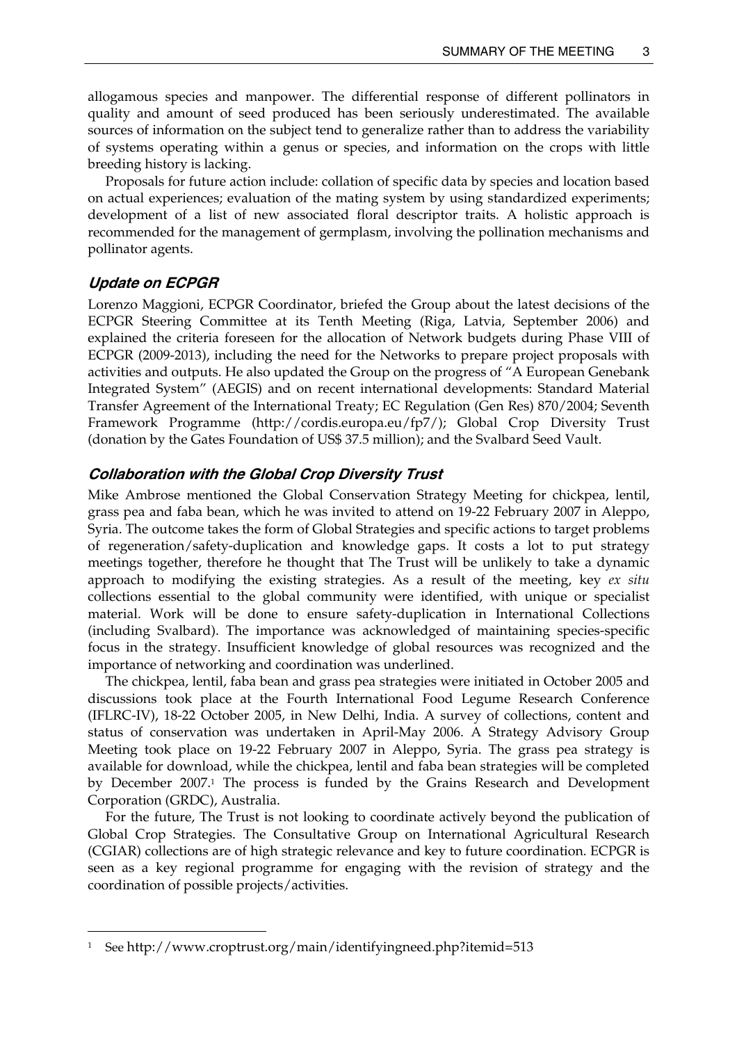allogamous species and manpower. The differential response of different pollinators in quality and amount of seed produced has been seriously underestimated. The available sources of information on the subject tend to generalize rather than to address the variability of systems operating within a genus or species, and information on the crops with little breeding history is lacking.

 Proposals for future action include: collation of specific data by species and location based on actual experiences; evaluation of the mating system by using standardized experiments; development of a list of new associated floral descriptor traits. A holistic approach is recommended for the management of germplasm, involving the pollination mechanisms and pollinator agents.

## **Update on ECPGR**

 $\overline{a}$ 

Lorenzo Maggioni, ECPGR Coordinator, briefed the Group about the latest decisions of the ECPGR Steering Committee at its Tenth Meeting (Riga, Latvia, September 2006) and explained the criteria foreseen for the allocation of Network budgets during Phase VIII of ECPGR (2009-2013), including the need for the Networks to prepare project proposals with activities and outputs. He also updated the Group on the progress of "A European Genebank Integrated System" (AEGIS) and on recent international developments: Standard Material Transfer Agreement of the International Treaty; EC Regulation (Gen Res) 870/2004; Seventh Framework Programme (http://cordis.europa.eu/fp7/); Global Crop Diversity Trust (donation by the Gates Foundation of US\$ 37.5 million); and the Svalbard Seed Vault.

## **Collaboration with the Global Crop Diversity Trust**

Mike Ambrose mentioned the Global Conservation Strategy Meeting for chickpea, lentil, grass pea and faba bean, which he was invited to attend on 19-22 February 2007 in Aleppo, Syria. The outcome takes the form of Global Strategies and specific actions to target problems of regeneration/safety-duplication and knowledge gaps. It costs a lot to put strategy meetings together, therefore he thought that The Trust will be unlikely to take a dynamic approach to modifying the existing strategies. As a result of the meeting, key *ex situ* collections essential to the global community were identified, with unique or specialist material. Work will be done to ensure safety-duplication in International Collections (including Svalbard). The importance was acknowledged of maintaining species-specific focus in the strategy. Insufficient knowledge of global resources was recognized and the importance of networking and coordination was underlined.

 The chickpea, lentil, faba bean and grass pea strategies were initiated in October 2005 and discussions took place at the Fourth International Food Legume Research Conference (IFLRC-IV), 18-22 October 2005, in New Delhi, India. A survey of collections, content and status of conservation was undertaken in April-May 2006. A Strategy Advisory Group Meeting took place on 19-22 February 2007 in Aleppo, Syria. The grass pea strategy is available for download, while the chickpea, lentil and faba bean strategies will be completed by December 2007.1 The process is funded by the Grains Research and Development Corporation (GRDC), Australia.

 For the future, The Trust is not looking to coordinate actively beyond the publication of Global Crop Strategies. The Consultative Group on International Agricultural Research (CGIAR) collections are of high strategic relevance and key to future coordination. ECPGR is seen as a key regional programme for engaging with the revision of strategy and the coordination of possible projects/activities.

<sup>1</sup> See http://www.croptrust.org/main/identifyingneed.php?itemid=513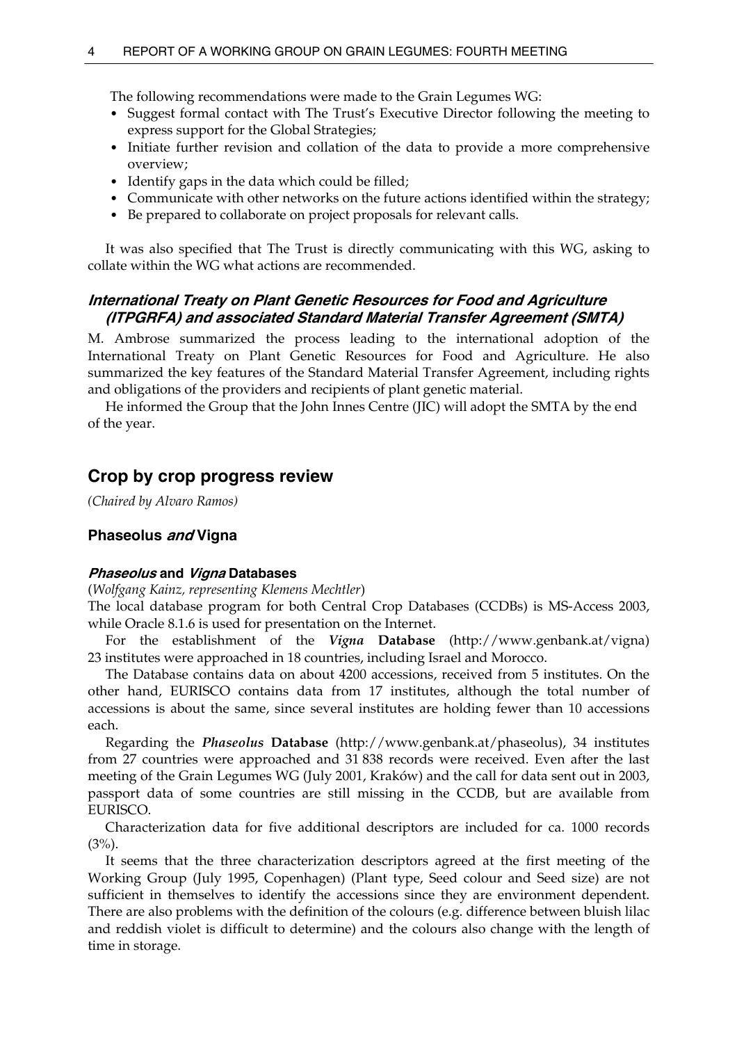The following recommendations were made to the Grain Legumes WG:

- Suggest formal contact with The Trust's Executive Director following the meeting to express support for the Global Strategies;
- Initiate further revision and collation of the data to provide a more comprehensive overview;
- Identify gaps in the data which could be filled;
- Communicate with other networks on the future actions identified within the strategy;
- Be prepared to collaborate on project proposals for relevant calls.

 It was also specified that The Trust is directly communicating with this WG, asking to collate within the WG what actions are recommended.

# **International Treaty on Plant Genetic Resources for Food and Agriculture (ITPGRFA) and associated Standard Material Transfer Agreement (SMTA)**

M. Ambrose summarized the process leading to the international adoption of the International Treaty on Plant Genetic Resources for Food and Agriculture. He also summarized the key features of the Standard Material Transfer Agreement, including rights and obligations of the providers and recipients of plant genetic material.

He informed the Group that the John Innes Centre (JIC) will adopt the SMTA by the end of the year.

# **Crop by crop progress review**

*(Chaired by Alvaro Ramos)* 

# **Phaseolus and Vigna**

## **Phaseolus and Vigna Databases**

(*Wolfgang Kainz, representing Klemens Mechtler*)

The local database program for both Central Crop Databases (CCDBs) is MS-Access 2003, while Oracle 8.1.6 is used for presentation on the Internet.

 For the establishment of the *Vigna* **Database** (http://www.genbank.at/vigna) 23 institutes were approached in 18 countries, including Israel and Morocco.

 The Database contains data on about 4200 accessions, received from 5 institutes. On the other hand, EURISCO contains data from 17 institutes, although the total number of accessions is about the same, since several institutes are holding fewer than 10 accessions each.

 Regarding the *Phaseolus* **Database** (http://www.genbank.at/phaseolus), 34 institutes from 27 countries were approached and 31 838 records were received. Even after the last meeting of the Grain Legumes WG (July 2001, Kraków) and the call for data sent out in 2003, passport data of some countries are still missing in the CCDB, but are available from EURISCO.

 Characterization data for five additional descriptors are included for ca. 1000 records  $(3%)$ .

 It seems that the three characterization descriptors agreed at the first meeting of the Working Group (July 1995, Copenhagen) (Plant type, Seed colour and Seed size) are not sufficient in themselves to identify the accessions since they are environment dependent. There are also problems with the definition of the colours (e.g. difference between bluish lilac and reddish violet is difficult to determine) and the colours also change with the length of time in storage.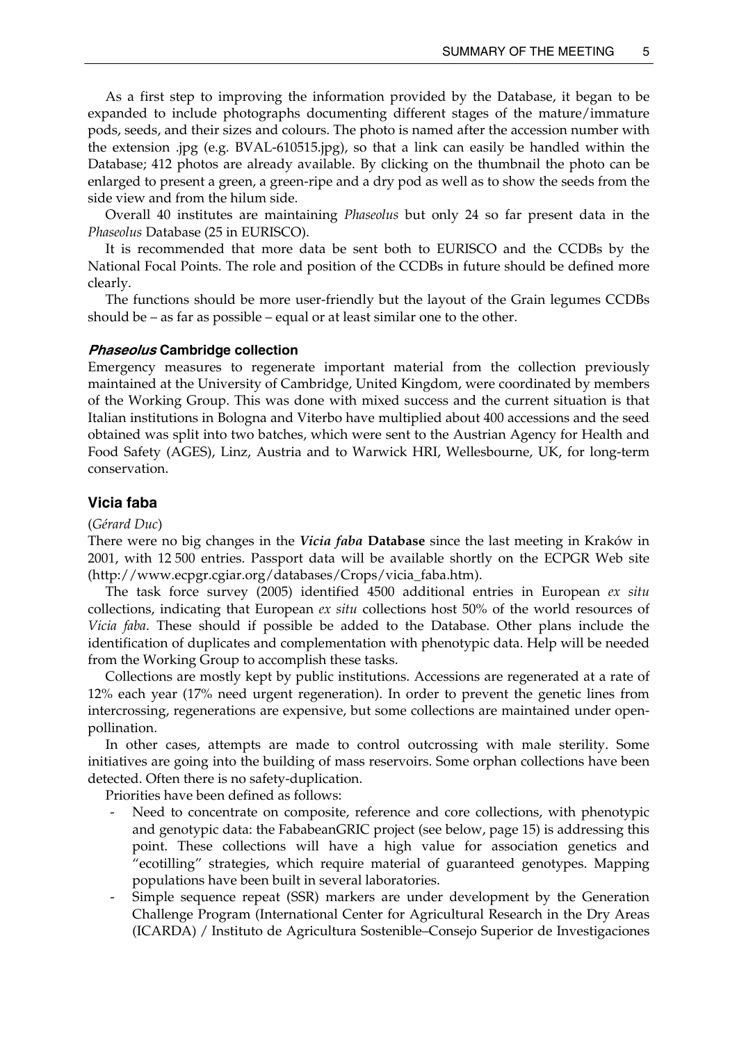As a first step to improving the information provided by the Database, it began to be expanded to include photographs documenting different stages of the mature/immature pods, seeds, and their sizes and colours. The photo is named after the accession number with the extension .jpg (e.g. BVAL-610515.jpg), so that a link can easily be handled within the Database; 412 photos are already available. By clicking on the thumbnail the photo can be enlarged to present a green, a green-ripe and a dry pod as well as to show the seeds from the side view and from the hilum side.

 Overall 40 institutes are maintaining *Phaseolus* but only 24 so far present data in the *Phaseolus* Database (25 in EURISCO).

 It is recommended that more data be sent both to EURISCO and the CCDBs by the National Focal Points. The role and position of the CCDBs in future should be defined more clearly.

 The functions should be more user-friendly but the layout of the Grain legumes CCDBs should be – as far as possible – equal or at least similar one to the other.

#### **Phaseolus Cambridge collection**

Emergency measures to regenerate important material from the collection previously maintained at the University of Cambridge, United Kingdom, were coordinated by members of the Working Group. This was done with mixed success and the current situation is that Italian institutions in Bologna and Viterbo have multiplied about 400 accessions and the seed obtained was split into two batches, which were sent to the Austrian Agency for Health and Food Safety (AGES), Linz, Austria and to Warwick HRI, Wellesbourne, UK, for long-term conservation.

## **Vicia faba**

#### (*Gérard Duc*)

There were no big changes in the *Vicia faba* **Database** since the last meeting in Kraków in 2001, with 12 500 entries. Passport data will be available shortly on the ECPGR Web site (http://www.ecpgr.cgiar.org/databases/Crops/vicia\_faba.htm).

 The task force survey (2005) identified 4500 additional entries in European *ex situ* collections, indicating that European *ex situ* collections host 50% of the world resources of *Vicia faba*. These should if possible be added to the Database. Other plans include the identification of duplicates and complementation with phenotypic data. Help will be needed from the Working Group to accomplish these tasks.

 Collections are mostly kept by public institutions. Accessions are regenerated at a rate of 12% each year (17% need urgent regeneration). In order to prevent the genetic lines from intercrossing, regenerations are expensive, but some collections are maintained under openpollination.

 In other cases, attempts are made to control outcrossing with male sterility. Some initiatives are going into the building of mass reservoirs. Some orphan collections have been detected. Often there is no safety-duplication.

Priorities have been defined as follows:

- Need to concentrate on composite, reference and core collections, with phenotypic and genotypic data: the FababeanGRIC project (see below, page 15) is addressing this point. These collections will have a high value for association genetics and "ecotilling" strategies, which require material of guaranteed genotypes. Mapping populations have been built in several laboratories.
- Simple sequence repeat (SSR) markers are under development by the Generation Challenge Program (International Center for Agricultural Research in the Dry Areas (ICARDA) / Instituto de Agricultura Sostenible–Consejo Superior de Investigaciones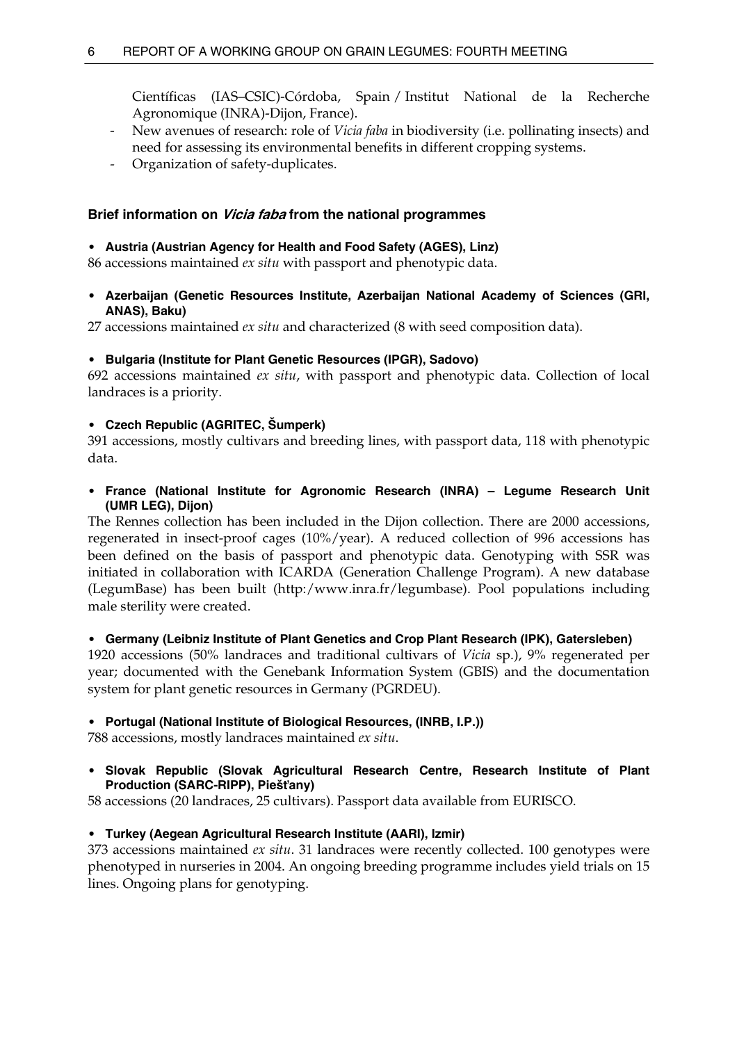Científicas (IAS–CSIC)-Córdoba, Spain / Institut National de la Recherche Agronomique (INRA)-Dijon, France).

- New avenues of research: role of *Vicia faba* in biodiversity (i.e. pollinating insects) and need for assessing its environmental benefits in different cropping systems.
- Organization of safety-duplicates.

# **Brief information on Vicia faba from the national programmes**

## • **Austria (Austrian Agency for Health and Food Safety (AGES), Linz)**

86 accessions maintained *ex situ* with passport and phenotypic data.

• **Azerbaijan (Genetic Resources Institute, Azerbaijan National Academy of Sciences (GRI, ANAS), Baku)** 

27 accessions maintained *ex situ* and characterized (8 with seed composition data).

# • **Bulgaria (Institute for Plant Genetic Resources (IPGR), Sadovo)**

692 accessions maintained *ex situ*, with passport and phenotypic data. Collection of local landraces is a priority.

# • **Czech Republic (AGRITEC, Šumperk)**

391 accessions, mostly cultivars and breeding lines, with passport data, 118 with phenotypic data.

• **France (National Institute for Agronomic Research (INRA) – Legume Research Unit (UMR LEG), Dijon)** 

The Rennes collection has been included in the Dijon collection. There are 2000 accessions, regenerated in insect-proof cages (10%/year). A reduced collection of 996 accessions has been defined on the basis of passport and phenotypic data. Genotyping with SSR was initiated in collaboration with ICARDA (Generation Challenge Program). A new database (LegumBase) has been built (http:/www.inra.fr/legumbase). Pool populations including male sterility were created.

# • **Germany (Leibniz Institute of Plant Genetics and Crop Plant Research (IPK), Gatersleben)**

1920 accessions (50% landraces and traditional cultivars of *Vicia* sp.), 9% regenerated per year; documented with the Genebank Information System (GBIS) and the documentation system for plant genetic resources in Germany (PGRDEU).

## • **Portugal (National Institute of Biological Resources, (INRB, I.P.))**

788 accessions, mostly landraces maintained *ex situ*.

# • **Slovak Republic (Slovak Agricultural Research Centre, Research Institute of Plant Production (SARC-RIPP), Piešťany)**

58 accessions (20 landraces, 25 cultivars). Passport data available from EURISCO.

## • **Turkey (Aegean Agricultural Research Institute (AARI), Izmir)**

373 accessions maintained *ex situ*. 31 landraces were recently collected. 100 genotypes were phenotyped in nurseries in 2004. An ongoing breeding programme includes yield trials on 15 lines. Ongoing plans for genotyping.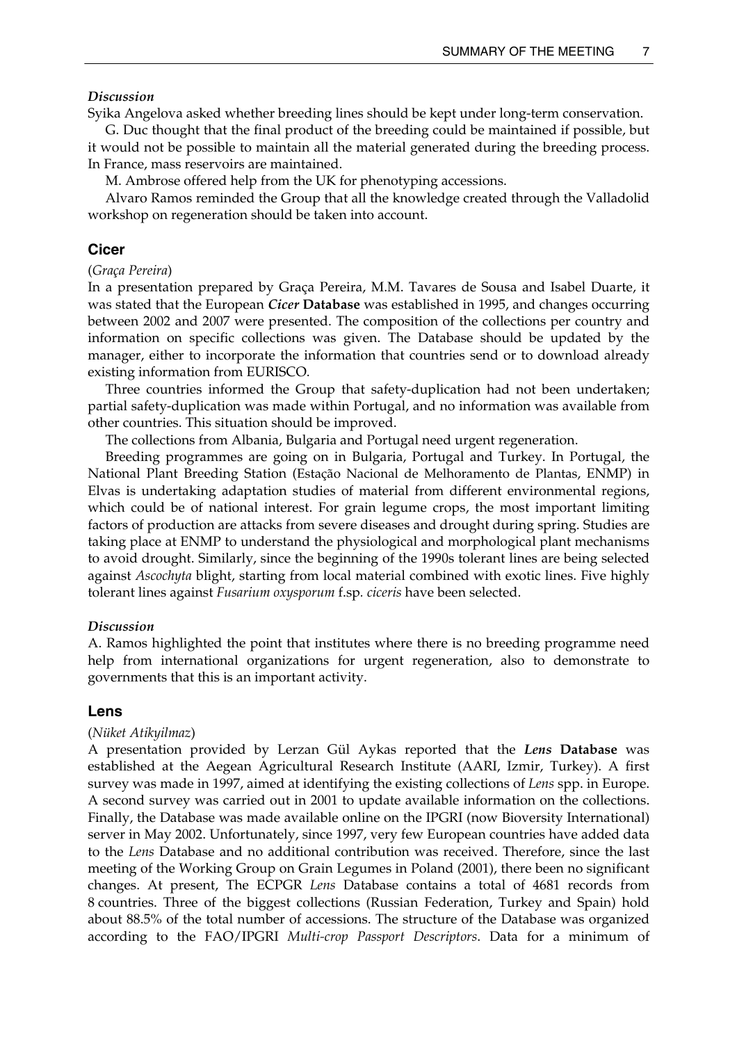#### *Discussion*

Syika Angelova asked whether breeding lines should be kept under long-term conservation.

 G. Duc thought that the final product of the breeding could be maintained if possible, but it would not be possible to maintain all the material generated during the breeding process. In France, mass reservoirs are maintained.

M. Ambrose offered help from the UK for phenotyping accessions.

 Alvaro Ramos reminded the Group that all the knowledge created through the Valladolid workshop on regeneration should be taken into account.

## **Cicer**

#### (*Graça Pereira*)

In a presentation prepared by Graça Pereira, M.M. Tavares de Sousa and Isabel Duarte, it was stated that the European *Cicer* **Database** was established in 1995, and changes occurring between 2002 and 2007 were presented. The composition of the collections per country and information on specific collections was given. The Database should be updated by the manager, either to incorporate the information that countries send or to download already existing information from EURISCO.

 Three countries informed the Group that safety-duplication had not been undertaken; partial safety-duplication was made within Portugal, and no information was available from other countries. This situation should be improved.

The collections from Albania, Bulgaria and Portugal need urgent regeneration.

 Breeding programmes are going on in Bulgaria, Portugal and Turkey. In Portugal, the National Plant Breeding Station (Estação Nacional de Melhoramento de Plantas, ENMP) in Elvas is undertaking adaptation studies of material from different environmental regions, which could be of national interest. For grain legume crops, the most important limiting factors of production are attacks from severe diseases and drought during spring. Studies are taking place at ENMP to understand the physiological and morphological plant mechanisms to avoid drought. Similarly, since the beginning of the 1990s tolerant lines are being selected against *Ascochyta* blight, starting from local material combined with exotic lines. Five highly tolerant lines against *Fusarium oxysporum* f.sp*. ciceris* have been selected.

### *Discussion*

A. Ramos highlighted the point that institutes where there is no breeding programme need help from international organizations for urgent regeneration, also to demonstrate to governments that this is an important activity.

### **Lens**

#### (*Nüket Atikyilmaz*)

A presentation provided by Lerzan Gül Aykas reported that the *Lens* **Database** was established at the Aegean Agricultural Research Institute (AARI, Izmir, Turkey). A first survey was made in 1997, aimed at identifying the existing collections of *Lens* spp. in Europe. A second survey was carried out in 2001 to update available information on the collections. Finally, the Database was made available online on the IPGRI (now Bioversity International) server in May 2002. Unfortunately, since 1997, very few European countries have added data to the *Lens* Database and no additional contribution was received. Therefore, since the last meeting of the Working Group on Grain Legumes in Poland (2001), there been no significant changes. At present, The ECPGR *Lens* Database contains a total of 4681 records from 8 countries. Three of the biggest collections (Russian Federation, Turkey and Spain) hold about 88.5% of the total number of accessions. The structure of the Database was organized according to the FAO/IPGRI *Multi-crop Passport Descriptors*. Data for a minimum of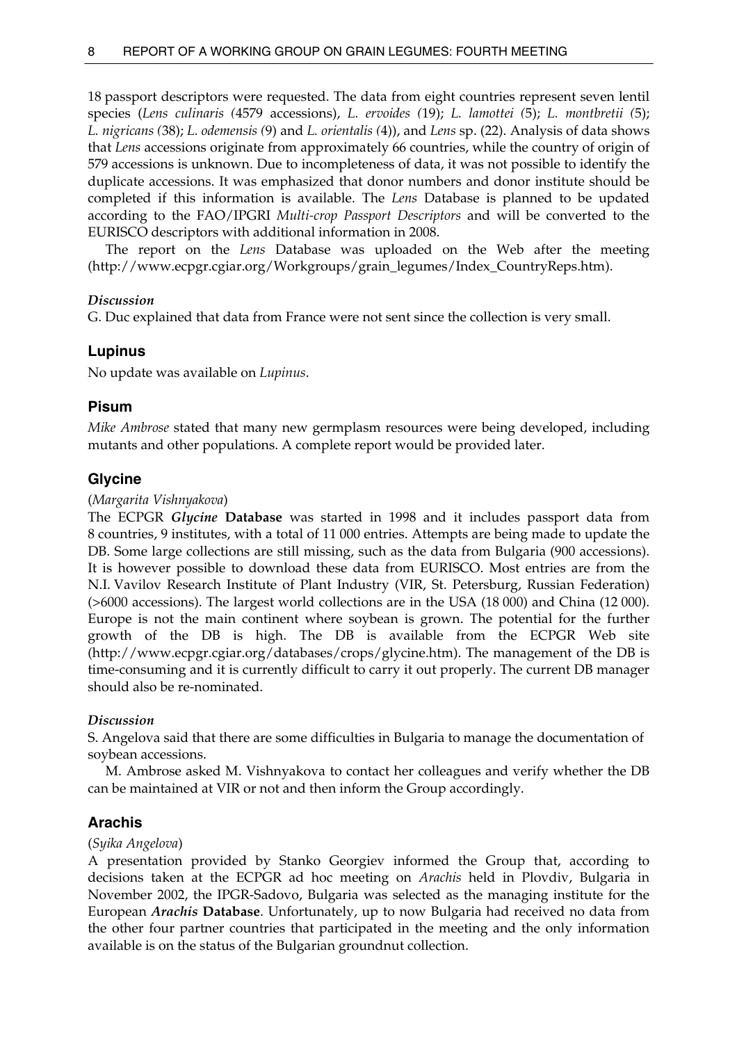18 passport descriptors were requested. The data from eight countries represent seven lentil species (*Lens culinaris (*4579 accessions), *L. ervoides (*19); *L. lamottei (*5); *L. montbretii (*5); *L. nigricans (*38); *L. odemensis (*9) and *L. orientalis (*4)), and *Lens* sp. (22). Analysis of data shows that *Lens* accessions originate from approximately 66 countries, while the country of origin of 579 accessions is unknown. Due to incompleteness of data, it was not possible to identify the duplicate accessions. It was emphasized that donor numbers and donor institute should be completed if this information is available. The *Lens* Database is planned to be updated according to the FAO/IPGRI *Multi-crop Passport Descriptors* and will be converted to the EURISCO descriptors with additional information in 2008.

 The report on the *Lens* Database was uploaded on the Web after the meeting (http://www.ecpgr.cgiar.org/Workgroups/grain\_legumes/Index\_CountryReps.htm).

# *Discussion*

G. Duc explained that data from France were not sent since the collection is very small.

# **Lupinus**

No update was available on *Lupinus*.

# **Pisum**

*Mike Ambrose* stated that many new germplasm resources were being developed, including mutants and other populations. A complete report would be provided later.

# **Glycine**

# (*Margarita Vishnyakova*)

The ECPGR *Glycine* **Database** was started in 1998 and it includes passport data from 8 countries, 9 institutes, with a total of 11 000 entries. Attempts are being made to update the DB. Some large collections are still missing, such as the data from Bulgaria (900 accessions). It is however possible to download these data from EURISCO. Most entries are from the N.I. Vavilov Research Institute of Plant Industry (VIR, St. Petersburg, Russian Federation) (>6000 accessions). The largest world collections are in the USA (18 000) and China (12 000). Europe is not the main continent where soybean is grown. The potential for the further growth of the DB is high. The DB is available from the ECPGR Web site (http://www.ecpgr.cgiar.org/databases/crops/glycine.htm). The management of the DB is time-consuming and it is currently difficult to carry it out properly. The current DB manager should also be re-nominated.

# *Discussion*

S. Angelova said that there are some difficulties in Bulgaria to manage the documentation of soybean accessions.

 M. Ambrose asked M. Vishnyakova to contact her colleagues and verify whether the DB can be maintained at VIR or not and then inform the Group accordingly.

# **Arachis**

## (*Syika Angelova*)

A presentation provided by Stanko Georgiev informed the Group that, according to decisions taken at the ECPGR ad hoc meeting on *Arachis* held in Plovdiv, Bulgaria in November 2002, the IPGR-Sadovo, Bulgaria was selected as the managing institute for the European *Arachis* **Database**. Unfortunately, up to now Bulgaria had received no data from the other four partner countries that participated in the meeting and the only information available is on the status of the Bulgarian groundnut collection.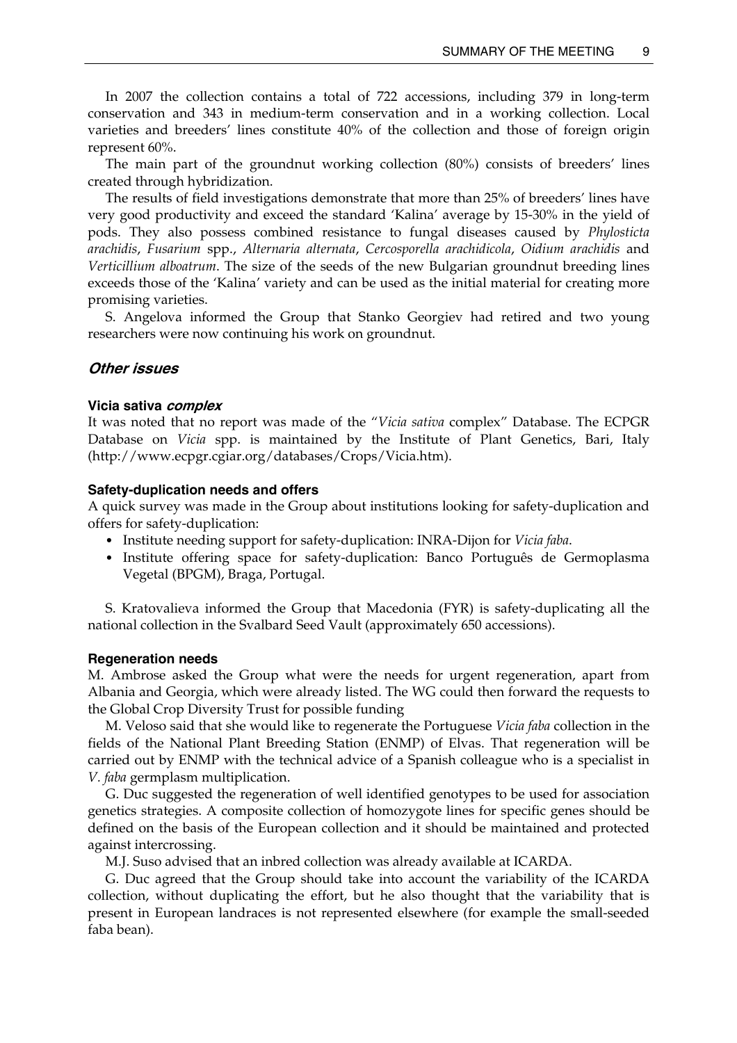In 2007 the collection contains a total of 722 accessions, including 379 in long-term conservation and 343 in medium-term conservation and in a working collection. Local varieties and breeders' lines constitute 40% of the collection and those of foreign origin represent 60%.

 The main part of the groundnut working collection (80%) consists of breeders' lines created through hybridization.

 The results of field investigations demonstrate that more than 25% of breeders' lines have very good productivity and exceed the standard 'Kalina' average by 15-30% in the yield of pods. They also possess combined resistance to fungal diseases caused by *Phylosticta arachidis*, *Fusarium* spp., *Alternaria alternata*, *Cercosporella arachidicola*, *Oidium arachidis* and *Verticillium alboatrum*. The size of the seeds of the new Bulgarian groundnut breeding lines exceeds those of the 'Kalina' variety and can be used as the initial material for creating more promising varieties.

 S. Angelova informed the Group that Stanko Georgiev had retired and two young researchers were now continuing his work on groundnut.

### **Other issues**

#### **Vicia sativa complex**

It was noted that no report was made of the "*Vicia sativa* complex" Database. The ECPGR Database on *Vicia* spp. is maintained by the Institute of Plant Genetics, Bari, Italy (http://www.ecpgr.cgiar.org/databases/Crops/Vicia.htm).

#### **Safety-duplication needs and offers**

A quick survey was made in the Group about institutions looking for safety-duplication and offers for safety-duplication:

- Institute needing support for safety-duplication: INRA-Dijon for *Vicia faba*.
- Institute offering space for safety-duplication: Banco Português de Germoplasma Vegetal (BPGM), Braga, Portugal.

 S. Kratovalieva informed the Group that Macedonia (FYR) is safety-duplicating all the national collection in the Svalbard Seed Vault (approximately 650 accessions).

#### **Regeneration needs**

M. Ambrose asked the Group what were the needs for urgent regeneration, apart from Albania and Georgia, which were already listed. The WG could then forward the requests to the Global Crop Diversity Trust for possible funding

 M. Veloso said that she would like to regenerate the Portuguese *Vicia faba* collection in the fields of the National Plant Breeding Station (ENMP) of Elvas. That regeneration will be carried out by ENMP with the technical advice of a Spanish colleague who is a specialist in *V. faba* germplasm multiplication.

 G. Duc suggested the regeneration of well identified genotypes to be used for association genetics strategies. A composite collection of homozygote lines for specific genes should be defined on the basis of the European collection and it should be maintained and protected against intercrossing.

M.J. Suso advised that an inbred collection was already available at ICARDA.

 G. Duc agreed that the Group should take into account the variability of the ICARDA collection, without duplicating the effort, but he also thought that the variability that is present in European landraces is not represented elsewhere (for example the small-seeded faba bean).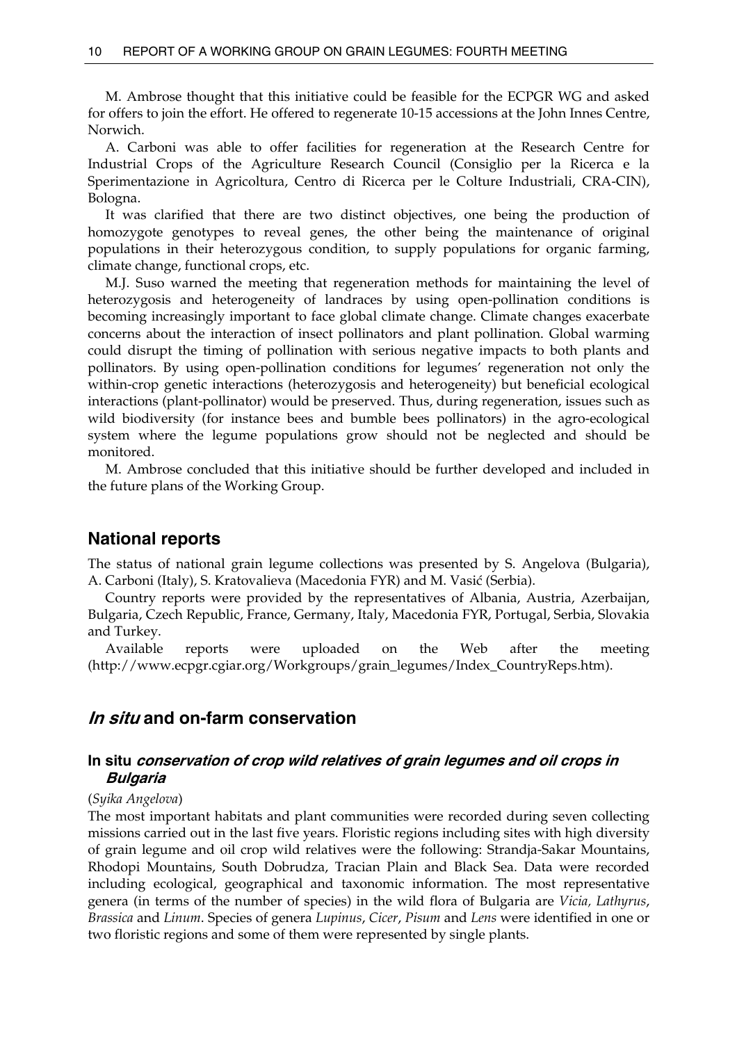M. Ambrose thought that this initiative could be feasible for the ECPGR WG and asked for offers to join the effort. He offered to regenerate 10-15 accessions at the John Innes Centre, Norwich.

 A. Carboni was able to offer facilities for regeneration at the Research Centre for Industrial Crops of the Agriculture Research Council (Consiglio per la Ricerca e la Sperimentazione in Agricoltura, Centro di Ricerca per le Colture Industriali, CRA-CIN), Bologna.

 It was clarified that there are two distinct objectives, one being the production of homozygote genotypes to reveal genes, the other being the maintenance of original populations in their heterozygous condition, to supply populations for organic farming, climate change, functional crops, etc.

 M.J. Suso warned the meeting that regeneration methods for maintaining the level of heterozygosis and heterogeneity of landraces by using open-pollination conditions is becoming increasingly important to face global climate change. Climate changes exacerbate concerns about the interaction of insect pollinators and plant pollination. Global warming could disrupt the timing of pollination with serious negative impacts to both plants and pollinators. By using open-pollination conditions for legumes' regeneration not only the within-crop genetic interactions (heterozygosis and heterogeneity) but beneficial ecological interactions (plant-pollinator) would be preserved. Thus, during regeneration, issues such as wild biodiversity (for instance bees and bumble bees pollinators) in the agro-ecological system where the legume populations grow should not be neglected and should be monitored.

 M. Ambrose concluded that this initiative should be further developed and included in the future plans of the Working Group.

# **National reports**

The status of national grain legume collections was presented by S. Angelova (Bulgaria), A. Carboni (Italy), S. Kratovalieva (Macedonia FYR) and M. Vasić (Serbia).

 Country reports were provided by the representatives of Albania, Austria, Azerbaijan, Bulgaria, Czech Republic, France, Germany, Italy, Macedonia FYR, Portugal, Serbia, Slovakia and Turkey.

 Available reports were uploaded on the Web after the meeting (http://www.ecpgr.cgiar.org/Workgroups/grain\_legumes/Index\_CountryReps.htm).

# **In situ and on-farm conservation**

# **In situ conservation of crop wild relatives of grain legumes and oil crops in Bulgaria**

## (*Syika Angelova*)

The most important habitats and plant communities were recorded during seven collecting missions carried out in the last five years. Floristic regions including sites with high diversity of grain legume and oil crop wild relatives were the following: Strandja-Sakar Mountains, Rhodopi Mountains, South Dobrudza, Tracian Plain and Black Sea. Data were recorded including ecological, geographical and taxonomic information. The most representative genera (in terms of the number of species) in the wild flora of Bulgaria are *Vicia, Lathyrus*, *Brassica* and *Linum*. Species of genera *Lupinus*, *Cicer*, *Pisum* and *Lens* were identified in one or two floristic regions and some of them were represented by single plants.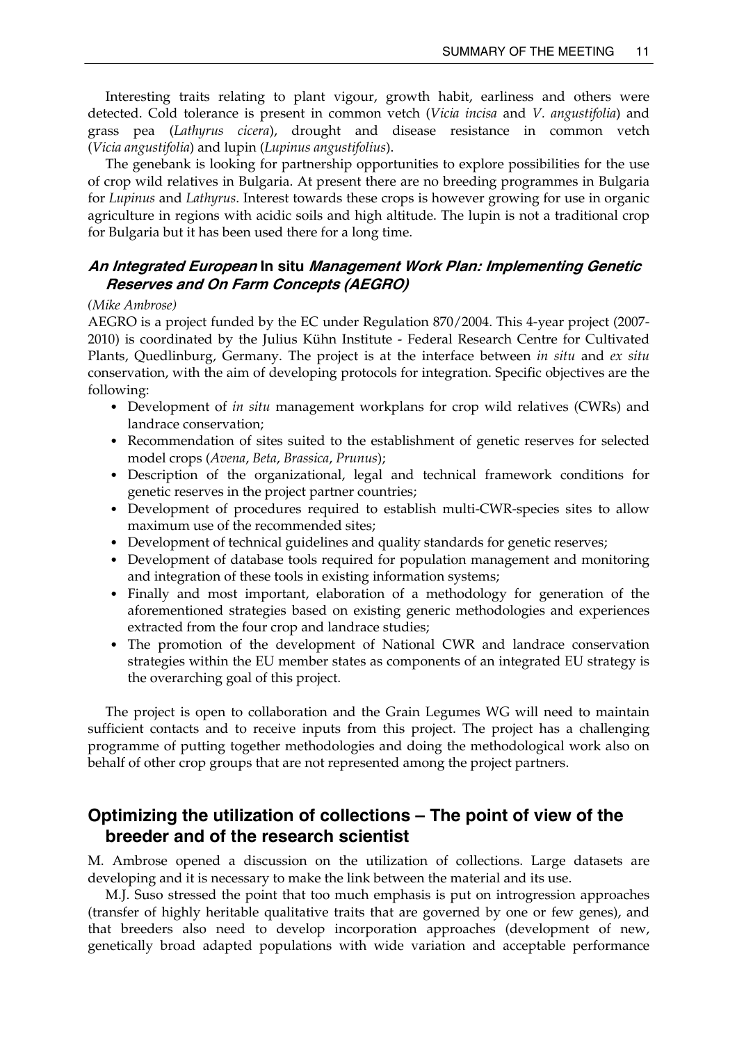Interesting traits relating to plant vigour, growth habit, earliness and others were detected. Cold tolerance is present in common vetch (*Vicia incisa* and *V. angustifolia*) and grass pea (*Lathyrus cicera*), drought and disease resistance in common vetch (*Vicia angustifolia*) and lupin (*Lupinus angustifolius*).

 The genebank is looking for partnership opportunities to explore possibilities for the use of crop wild relatives in Bulgaria. At present there are no breeding programmes in Bulgaria for *Lupinus* and *Lathyrus*. Interest towards these crops is however growing for use in organic agriculture in regions with acidic soils and high altitude. The lupin is not a traditional crop for Bulgaria but it has been used there for a long time.

# **An Integrated European In situ Management Work Plan: Implementing Genetic Reserves and On Farm Concepts (AEGRO)**

### *(Mike Ambrose)*

AEGRO is a project funded by the EC under Regulation 870/2004. This 4-year project (2007- 2010) is coordinated by the Julius Kühn Institute - Federal Research Centre for Cultivated Plants, Quedlinburg, Germany. The project is at the interface between *in situ* and *ex situ*  conservation, with the aim of developing protocols for integration. Specific objectives are the following:

- Development of *in situ* management workplans for crop wild relatives (CWRs) and landrace conservation;
- Recommendation of sites suited to the establishment of genetic reserves for selected model crops (*Avena*, *Beta*, *Brassica*, *Prunus*);
- Description of the organizational, legal and technical framework conditions for genetic reserves in the project partner countries;
- Development of procedures required to establish multi-CWR-species sites to allow maximum use of the recommended sites;
- Development of technical guidelines and quality standards for genetic reserves;
- Development of database tools required for population management and monitoring and integration of these tools in existing information systems;
- Finally and most important, elaboration of a methodology for generation of the aforementioned strategies based on existing generic methodologies and experiences extracted from the four crop and landrace studies;
- The promotion of the development of National CWR and landrace conservation strategies within the EU member states as components of an integrated EU strategy is the overarching goal of this project.

 The project is open to collaboration and the Grain Legumes WG will need to maintain sufficient contacts and to receive inputs from this project. The project has a challenging programme of putting together methodologies and doing the methodological work also on behalf of other crop groups that are not represented among the project partners.

# **Optimizing the utilization of collections – The point of view of the breeder and of the research scientist**

M. Ambrose opened a discussion on the utilization of collections. Large datasets are developing and it is necessary to make the link between the material and its use.

 M.J. Suso stressed the point that too much emphasis is put on introgression approaches (transfer of highly heritable qualitative traits that are governed by one or few genes), and that breeders also need to develop incorporation approaches (development of new, genetically broad adapted populations with wide variation and acceptable performance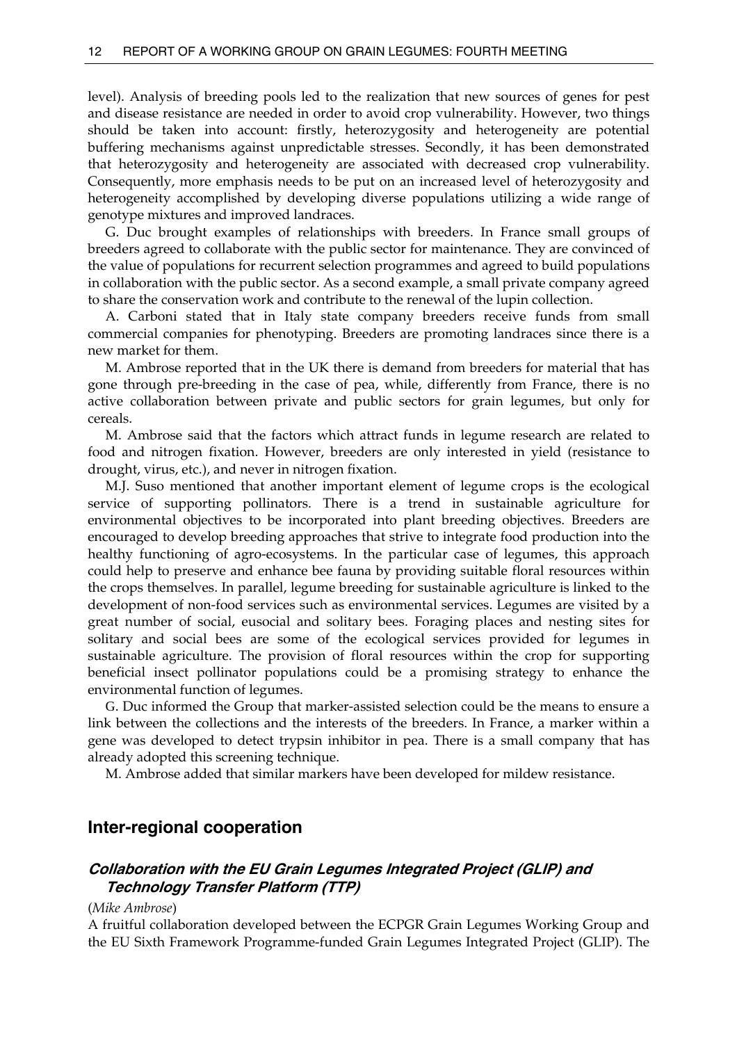level). Analysis of breeding pools led to the realization that new sources of genes for pest and disease resistance are needed in order to avoid crop vulnerability. However, two things should be taken into account: firstly, heterozygosity and heterogeneity are potential buffering mechanisms against unpredictable stresses. Secondly, it has been demonstrated that heterozygosity and heterogeneity are associated with decreased crop vulnerability. Consequently, more emphasis needs to be put on an increased level of heterozygosity and heterogeneity accomplished by developing diverse populations utilizing a wide range of genotype mixtures and improved landraces.

 G. Duc brought examples of relationships with breeders. In France small groups of breeders agreed to collaborate with the public sector for maintenance. They are convinced of the value of populations for recurrent selection programmes and agreed to build populations in collaboration with the public sector. As a second example, a small private company agreed to share the conservation work and contribute to the renewal of the lupin collection.

 A. Carboni stated that in Italy state company breeders receive funds from small commercial companies for phenotyping. Breeders are promoting landraces since there is a new market for them.

 M. Ambrose reported that in the UK there is demand from breeders for material that has gone through pre-breeding in the case of pea, while, differently from France, there is no active collaboration between private and public sectors for grain legumes, but only for cereals.

M. Ambrose said that the factors which attract funds in legume research are related to food and nitrogen fixation. However, breeders are only interested in yield (resistance to drought, virus, etc.), and never in nitrogen fixation.

M.J. Suso mentioned that another important element of legume crops is the ecological service of supporting pollinators. There is a trend in sustainable agriculture for environmental objectives to be incorporated into plant breeding objectives. Breeders are encouraged to develop breeding approaches that strive to integrate food production into the healthy functioning of agro-ecosystems. In the particular case of legumes, this approach could help to preserve and enhance bee fauna by providing suitable floral resources within the crops themselves. In parallel, legume breeding for sustainable agriculture is linked to the development of non-food services such as environmental services. Legumes are visited by a great number of social, eusocial and solitary bees. Foraging places and nesting sites for solitary and social bees are some of the ecological services provided for legumes in sustainable agriculture. The provision of floral resources within the crop for supporting beneficial insect pollinator populations could be a promising strategy to enhance the environmental function of legumes.

 G. Duc informed the Group that marker-assisted selection could be the means to ensure a link between the collections and the interests of the breeders. In France, a marker within a gene was developed to detect trypsin inhibitor in pea. There is a small company that has already adopted this screening technique.

M. Ambrose added that similar markers have been developed for mildew resistance.

# **Inter-regional cooperation**

# **Collaboration with the EU Grain Legumes Integrated Project (GLIP) and Technology Transfer Platform (TTP)**

#### (*Mike Ambrose*)

A fruitful collaboration developed between the ECPGR Grain Legumes Working Group and the EU Sixth Framework Programme-funded Grain Legumes Integrated Project (GLIP). The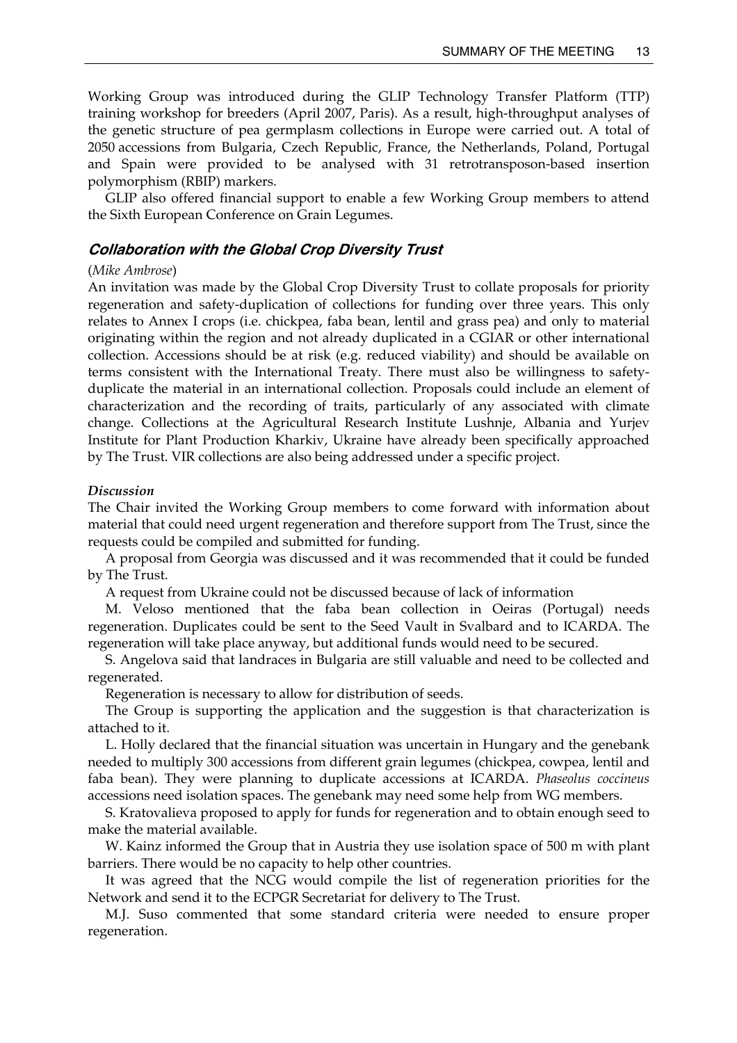Working Group was introduced during the GLIP Technology Transfer Platform (TTP) training workshop for breeders (April 2007, Paris). As a result, high-throughput analyses of the genetic structure of pea germplasm collections in Europe were carried out. A total of 2050 accessions from Bulgaria, Czech Republic, France, the Netherlands, Poland, Portugal and Spain were provided to be analysed with 31 retrotransposon-based insertion polymorphism (RBIP) markers.

 GLIP also offered financial support to enable a few Working Group members to attend the Sixth European Conference on Grain Legumes.

## **Collaboration with the Global Crop Diversity Trust**

#### (*Mike Ambrose*)

An invitation was made by the Global Crop Diversity Trust to collate proposals for priority regeneration and safety-duplication of collections for funding over three years. This only relates to Annex I crops (i.e. chickpea, faba bean, lentil and grass pea) and only to material originating within the region and not already duplicated in a CGIAR or other international collection. Accessions should be at risk (e.g. reduced viability) and should be available on terms consistent with the International Treaty. There must also be willingness to safetyduplicate the material in an international collection. Proposals could include an element of characterization and the recording of traits, particularly of any associated with climate change. Collections at the Agricultural Research Institute Lushnje, Albania and Yurjev Institute for Plant Production Kharkiv, Ukraine have already been specifically approached by The Trust. VIR collections are also being addressed under a specific project.

#### *Discussion*

The Chair invited the Working Group members to come forward with information about material that could need urgent regeneration and therefore support from The Trust, since the requests could be compiled and submitted for funding.

 A proposal from Georgia was discussed and it was recommended that it could be funded by The Trust.

A request from Ukraine could not be discussed because of lack of information

 M. Veloso mentioned that the faba bean collection in Oeiras (Portugal) needs regeneration. Duplicates could be sent to the Seed Vault in Svalbard and to ICARDA. The regeneration will take place anyway, but additional funds would need to be secured.

 S. Angelova said that landraces in Bulgaria are still valuable and need to be collected and regenerated.

Regeneration is necessary to allow for distribution of seeds.

 The Group is supporting the application and the suggestion is that characterization is attached to it.

 L. Holly declared that the financial situation was uncertain in Hungary and the genebank needed to multiply 300 accessions from different grain legumes (chickpea, cowpea, lentil and faba bean). They were planning to duplicate accessions at ICARDA. *Phaseolus coccineus* accessions need isolation spaces. The genebank may need some help from WG members.

 S. Kratovalieva proposed to apply for funds for regeneration and to obtain enough seed to make the material available.

 W. Kainz informed the Group that in Austria they use isolation space of 500 m with plant barriers. There would be no capacity to help other countries.

 It was agreed that the NCG would compile the list of regeneration priorities for the Network and send it to the ECPGR Secretariat for delivery to The Trust.

 M.J. Suso commented that some standard criteria were needed to ensure proper regeneration.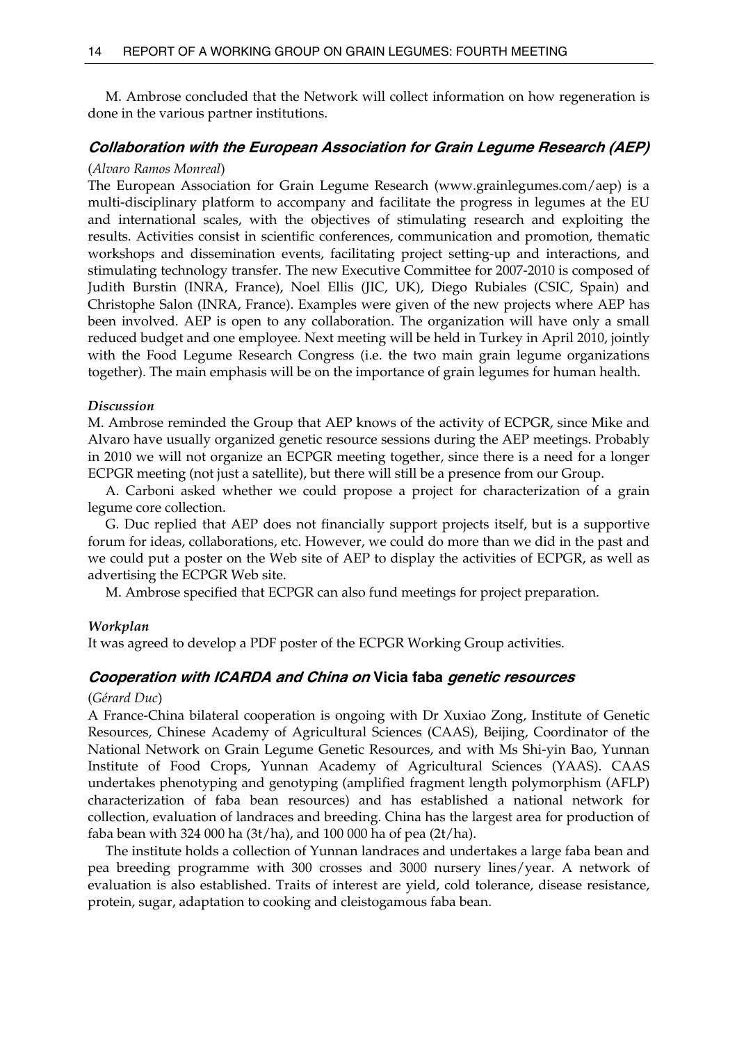M. Ambrose concluded that the Network will collect information on how regeneration is done in the various partner institutions.

# **Collaboration with the European Association for Grain Legume Research (AEP)**  (*Alvaro Ramos Monreal*)

The European Association for Grain Legume Research (www.grainlegumes.com/aep) is a multi-disciplinary platform to accompany and facilitate the progress in legumes at the EU and international scales, with the objectives of stimulating research and exploiting the results. Activities consist in scientific conferences, communication and promotion, thematic workshops and dissemination events, facilitating project setting-up and interactions, and stimulating technology transfer. The new Executive Committee for 2007-2010 is composed of Judith Burstin (INRA, France), Noel Ellis (JIC, UK), Diego Rubiales (CSIC, Spain) and Christophe Salon (INRA, France). Examples were given of the new projects where AEP has been involved. AEP is open to any collaboration. The organization will have only a small reduced budget and one employee. Next meeting will be held in Turkey in April 2010, jointly with the Food Legume Research Congress (i.e. the two main grain legume organizations together). The main emphasis will be on the importance of grain legumes for human health.

#### *Discussion*

M. Ambrose reminded the Group that AEP knows of the activity of ECPGR, since Mike and Alvaro have usually organized genetic resource sessions during the AEP meetings. Probably in 2010 we will not organize an ECPGR meeting together, since there is a need for a longer ECPGR meeting (not just a satellite), but there will still be a presence from our Group.

 A. Carboni asked whether we could propose a project for characterization of a grain legume core collection.

 G. Duc replied that AEP does not financially support projects itself, but is a supportive forum for ideas, collaborations, etc. However, we could do more than we did in the past and we could put a poster on the Web site of AEP to display the activities of ECPGR, as well as advertising the ECPGR Web site.

M. Ambrose specified that ECPGR can also fund meetings for project preparation.

#### *Workplan*

It was agreed to develop a PDF poster of the ECPGR Working Group activities.

### **Cooperation with ICARDA and China on Vicia faba genetic resources**

#### (*Gérard Duc*)

A France-China bilateral cooperation is ongoing with Dr Xuxiao Zong, Institute of Genetic Resources, Chinese Academy of Agricultural Sciences (CAAS), Beijing, Coordinator of the National Network on Grain Legume Genetic Resources, and with Ms Shi-yin Bao, Yunnan Institute of Food Crops, Yunnan Academy of Agricultural Sciences (YAAS). CAAS undertakes phenotyping and genotyping (amplified fragment length polymorphism (AFLP) characterization of faba bean resources) and has established a national network for collection, evaluation of landraces and breeding. China has the largest area for production of faba bean with 324 000 ha (3t/ha), and 100 000 ha of pea (2t/ha).

 The institute holds a collection of Yunnan landraces and undertakes a large faba bean and pea breeding programme with 300 crosses and 3000 nursery lines/year. A network of evaluation is also established. Traits of interest are yield, cold tolerance, disease resistance, protein, sugar, adaptation to cooking and cleistogamous faba bean.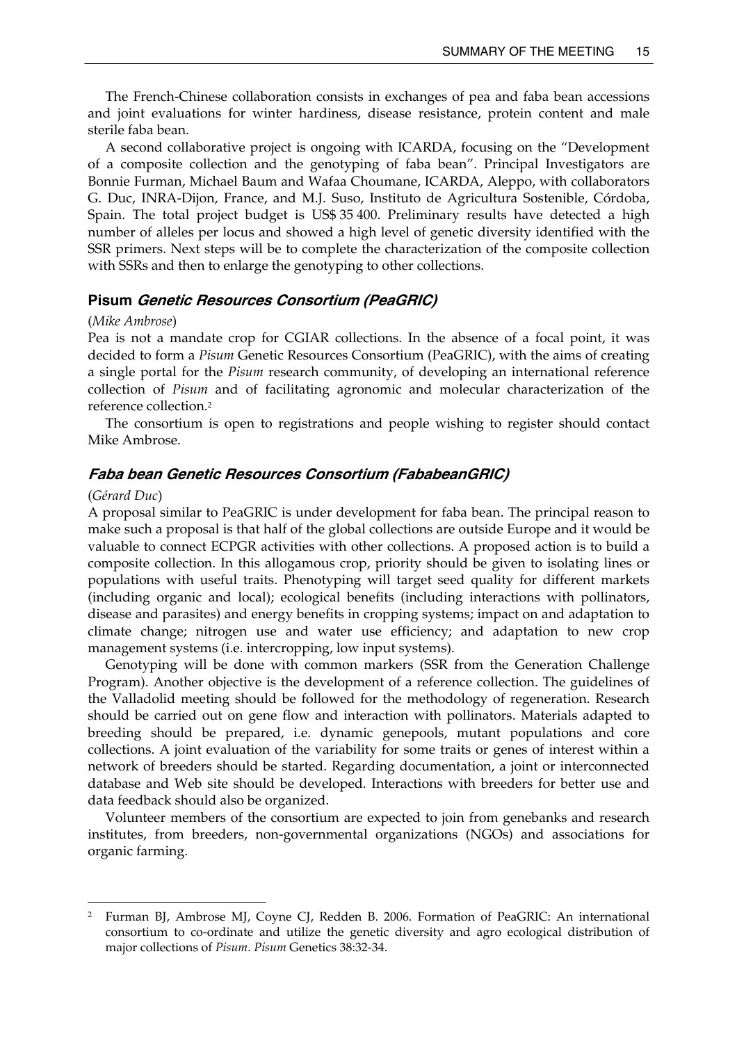The French-Chinese collaboration consists in exchanges of pea and faba bean accessions and joint evaluations for winter hardiness, disease resistance, protein content and male sterile faba bean.

 A second collaborative project is ongoing with ICARDA, focusing on the "Development of a composite collection and the genotyping of faba bean". Principal Investigators are Bonnie Furman, Michael Baum and Wafaa Choumane, ICARDA, Aleppo, with collaborators G. Duc, INRA-Dijon, France, and M.J. Suso, Instituto de Agricultura Sostenible, Córdoba, Spain. The total project budget is US\$ 35 400. Preliminary results have detected a high number of alleles per locus and showed a high level of genetic diversity identified with the SSR primers. Next steps will be to complete the characterization of the composite collection with SSRs and then to enlarge the genotyping to other collections.

## **Pisum Genetic Resources Consortium (PeaGRIC)**

#### (*Mike Ambrose*)

Pea is not a mandate crop for CGIAR collections. In the absence of a focal point, it was decided to form a *Pisum* Genetic Resources Consortium (PeaGRIC), with the aims of creating a single portal for the *Pisum* research community, of developing an international reference collection of *Pisum* and of facilitating agronomic and molecular characterization of the reference collection.2

 The consortium is open to registrations and people wishing to register should contact Mike Ambrose.

## **Faba bean Genetic Resources Consortium (FababeanGRIC)**

#### (*Gérard Duc*)

 $\overline{a}$ 

A proposal similar to PeaGRIC is under development for faba bean. The principal reason to make such a proposal is that half of the global collections are outside Europe and it would be valuable to connect ECPGR activities with other collections. A proposed action is to build a composite collection. In this allogamous crop, priority should be given to isolating lines or populations with useful traits. Phenotyping will target seed quality for different markets (including organic and local); ecological benefits (including interactions with pollinators, disease and parasites) and energy benefits in cropping systems; impact on and adaptation to climate change; nitrogen use and water use efficiency; and adaptation to new crop management systems (i.e. intercropping, low input systems).

 Genotyping will be done with common markers (SSR from the Generation Challenge Program). Another objective is the development of a reference collection. The guidelines of the Valladolid meeting should be followed for the methodology of regeneration. Research should be carried out on gene flow and interaction with pollinators. Materials adapted to breeding should be prepared, i.e. dynamic genepools, mutant populations and core collections. A joint evaluation of the variability for some traits or genes of interest within a network of breeders should be started. Regarding documentation, a joint or interconnected database and Web site should be developed. Interactions with breeders for better use and data feedback should also be organized.

 Volunteer members of the consortium are expected to join from genebanks and research institutes, from breeders, non-governmental organizations (NGOs) and associations for organic farming.

<sup>2</sup> Furman BJ, Ambrose MJ, Coyne CJ, Redden B. 2006. Formation of PeaGRIC: An international consortium to co-ordinate and utilize the genetic diversity and agro ecological distribution of major collections of *Pisum*. *Pisum* Genetics 38:32-34.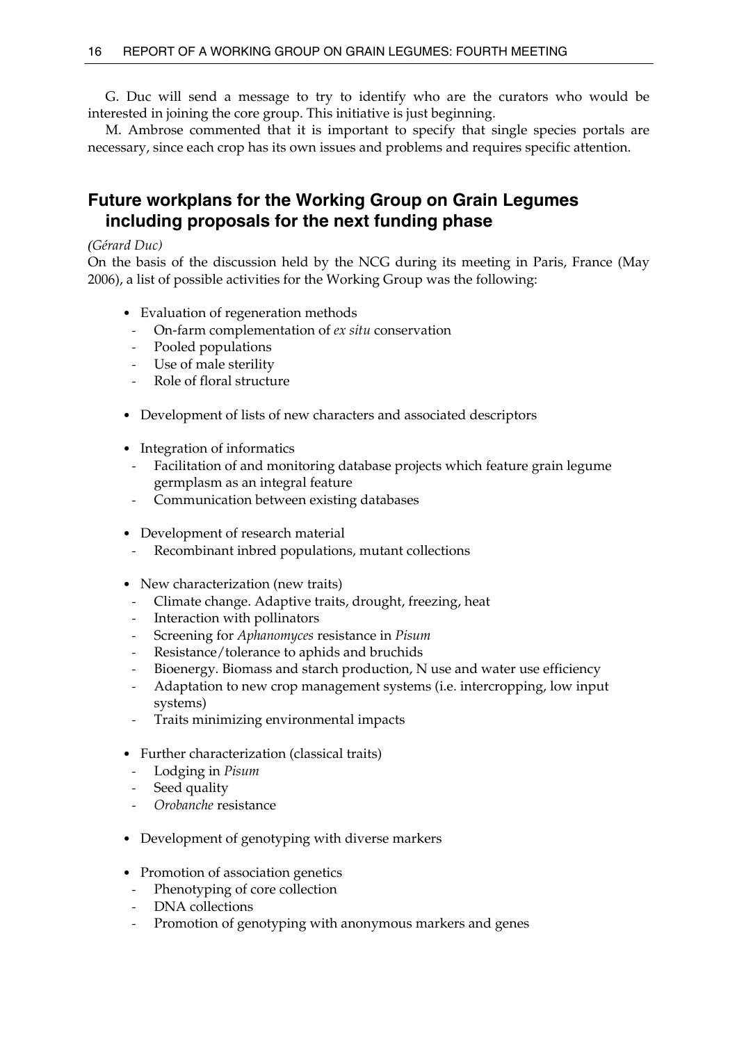G. Duc will send a message to try to identify who are the curators who would be interested in joining the core group. This initiative is just beginning.

 M. Ambrose commented that it is important to specify that single species portals are necessary, since each crop has its own issues and problems and requires specific attention.

# **Future workplans for the Working Group on Grain Legumes including proposals for the next funding phase**

## *(Gérard Duc)*

On the basis of the discussion held by the NCG during its meeting in Paris, France (May 2006), a list of possible activities for the Working Group was the following:

- Evaluation of regeneration methods
- On-farm complementation of *ex situ* conservation
- Pooled populations
- Use of male sterility
- Role of floral structure
- Development of lists of new characters and associated descriptors
- Integration of informatics
- Facilitation of and monitoring database projects which feature grain legume germplasm as an integral feature
- Communication between existing databases
- Development of research material
- Recombinant inbred populations, mutant collections
- New characterization (new traits)
- Climate change. Adaptive traits, drought, freezing, heat
- Interaction with pollinators
- Screening for *Aphanomyces* resistance in *Pisum*
- Resistance/tolerance to aphids and bruchids
- Bioenergy. Biomass and starch production, N use and water use efficiency
- Adaptation to new crop management systems (i.e. intercropping, low input systems)
- Traits minimizing environmental impacts
- Further characterization (classical traits)
	- Lodging in *Pisum*
- Seed quality
- *Orobanche* resistance
- Development of genotyping with diverse markers
- Promotion of association genetics
- Phenotyping of core collection
- DNA collections
- Promotion of genotyping with anonymous markers and genes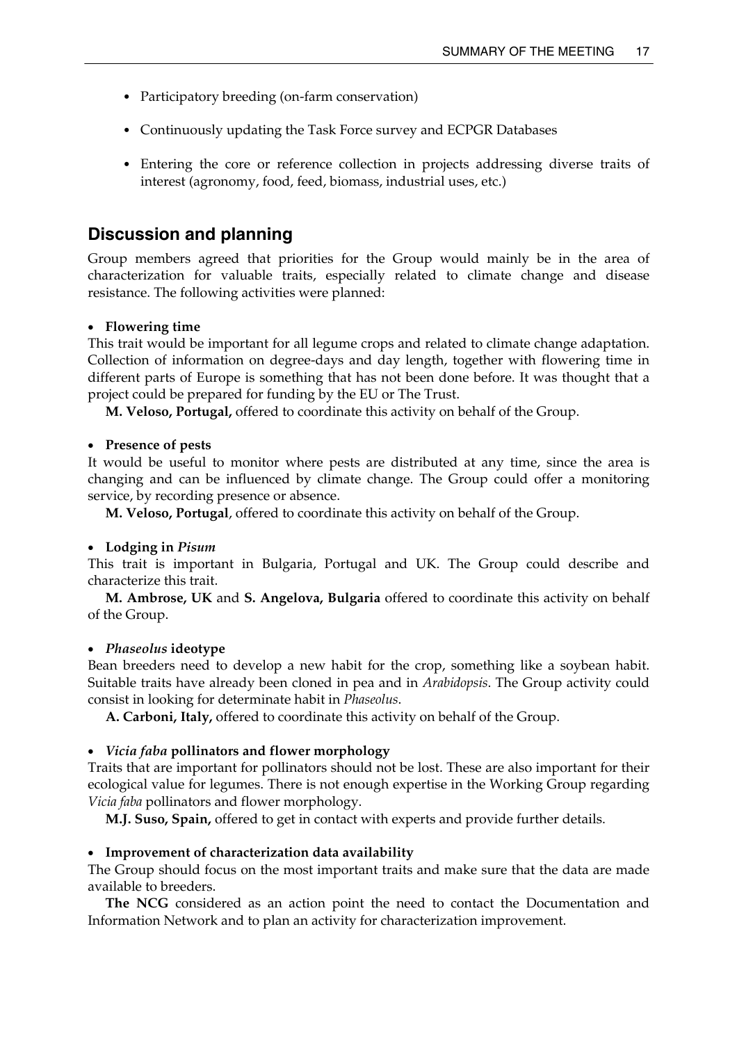- Participatory breeding (on-farm conservation)
- Continuously updating the Task Force survey and ECPGR Databases
- Entering the core or reference collection in projects addressing diverse traits of interest (agronomy, food, feed, biomass, industrial uses, etc.)

# **Discussion and planning**

Group members agreed that priorities for the Group would mainly be in the area of characterization for valuable traits, especially related to climate change and disease resistance. The following activities were planned:

### • **Flowering time**

This trait would be important for all legume crops and related to climate change adaptation. Collection of information on degree-days and day length, together with flowering time in different parts of Europe is something that has not been done before. It was thought that a project could be prepared for funding by the EU or The Trust.

**M. Veloso, Portugal,** offered to coordinate this activity on behalf of the Group.

### • **Presence of pests**

It would be useful to monitor where pests are distributed at any time, since the area is changing and can be influenced by climate change. The Group could offer a monitoring service, by recording presence or absence.

 **M. Veloso, Portugal**, offered to coordinate this activity on behalf of the Group.

#### • **Lodging in** *Pisum*

This trait is important in Bulgaria, Portugal and UK. The Group could describe and characterize this trait.

 **M. Ambrose, UK** and **S. Angelova, Bulgaria** offered to coordinate this activity on behalf of the Group.

#### • *Phaseolus* **ideotype**

Bean breeders need to develop a new habit for the crop, something like a soybean habit. Suitable traits have already been cloned in pea and in *Arabidopsis*. The Group activity could consist in looking for determinate habit in *Phaseolus*.

**A. Carboni, Italy,** offered to coordinate this activity on behalf of the Group.

#### • *Vicia faba* **pollinators and flower morphology**

Traits that are important for pollinators should not be lost. These are also important for their ecological value for legumes. There is not enough expertise in the Working Group regarding *Vicia faba* pollinators and flower morphology.

 **M.J. Suso, Spain,** offered to get in contact with experts and provide further details.

#### • **Improvement of characterization data availability**

The Group should focus on the most important traits and make sure that the data are made available to breeders.

 **The NCG** considered as an action point the need to contact the Documentation and Information Network and to plan an activity for characterization improvement.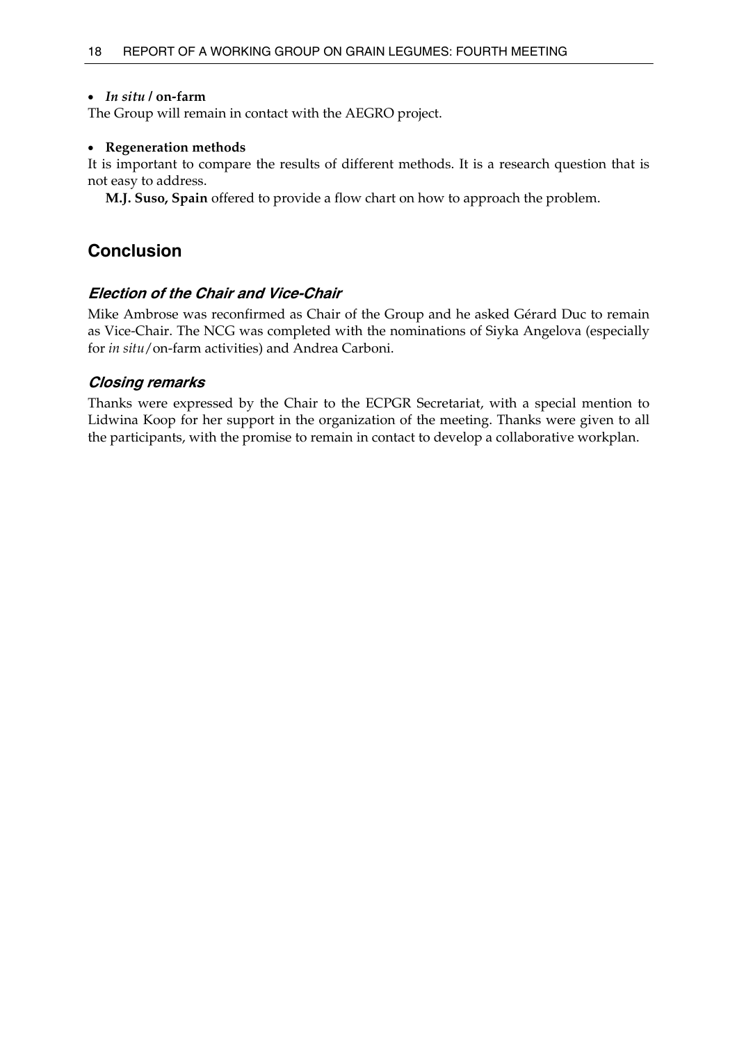## • *In situ* **/ on-farm**

The Group will remain in contact with the AEGRO project.

# • **Regeneration methods**

It is important to compare the results of different methods. It is a research question that is not easy to address.

**M.J. Suso, Spain** offered to provide a flow chart on how to approach the problem.

# **Conclusion**

# **Election of the Chair and Vice-Chair**

Mike Ambrose was reconfirmed as Chair of the Group and he asked Gérard Duc to remain as Vice-Chair. The NCG was completed with the nominations of Siyka Angelova (especially for *in situ*/on-farm activities) and Andrea Carboni.

# **Closing remarks**

Thanks were expressed by the Chair to the ECPGR Secretariat, with a special mention to Lidwina Koop for her support in the organization of the meeting. Thanks were given to all the participants, with the promise to remain in contact to develop a collaborative workplan.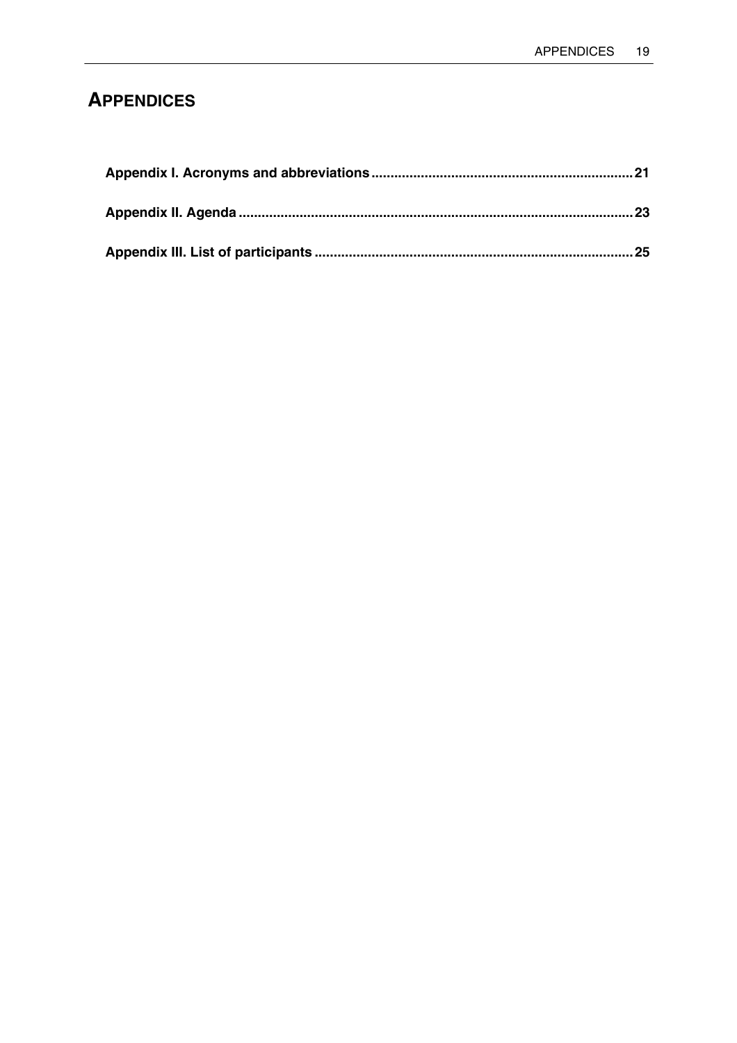# **APPENDICES**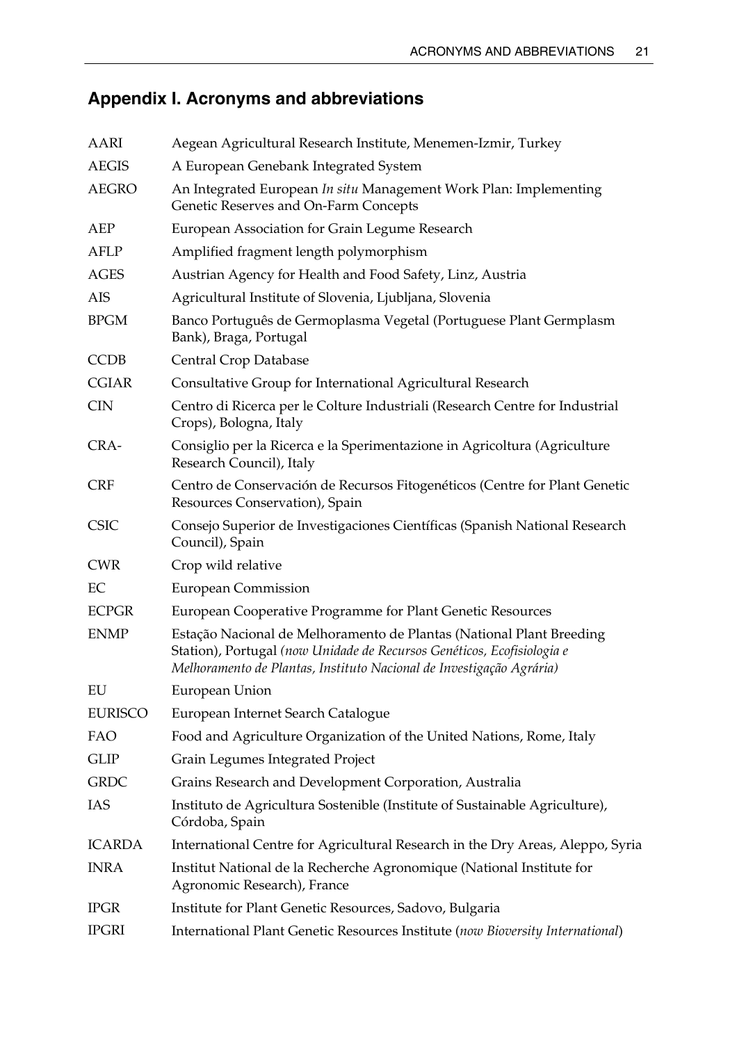# **Appendix I. Acronyms and abbreviations**

| AARI           | Aegean Agricultural Research Institute, Menemen-Izmir, Turkey                                                                                                                                                          |
|----------------|------------------------------------------------------------------------------------------------------------------------------------------------------------------------------------------------------------------------|
| <b>AEGIS</b>   | A European Genebank Integrated System                                                                                                                                                                                  |
| <b>AEGRO</b>   | An Integrated European In situ Management Work Plan: Implementing<br>Genetic Reserves and On-Farm Concepts                                                                                                             |
| AEP            | European Association for Grain Legume Research                                                                                                                                                                         |
| <b>AFLP</b>    | Amplified fragment length polymorphism                                                                                                                                                                                 |
| <b>AGES</b>    | Austrian Agency for Health and Food Safety, Linz, Austria                                                                                                                                                              |
| AIS            | Agricultural Institute of Slovenia, Ljubljana, Slovenia                                                                                                                                                                |
| <b>BPGM</b>    | Banco Português de Germoplasma Vegetal (Portuguese Plant Germplasm<br>Bank), Braga, Portugal                                                                                                                           |
| <b>CCDB</b>    | Central Crop Database                                                                                                                                                                                                  |
| <b>CGIAR</b>   | Consultative Group for International Agricultural Research                                                                                                                                                             |
| <b>CIN</b>     | Centro di Ricerca per le Colture Industriali (Research Centre for Industrial<br>Crops), Bologna, Italy                                                                                                                 |
| CRA-           | Consiglio per la Ricerca e la Sperimentazione in Agricoltura (Agriculture<br>Research Council), Italy                                                                                                                  |
| <b>CRF</b>     | Centro de Conservación de Recursos Fitogenéticos (Centre for Plant Genetic<br>Resources Conservation), Spain                                                                                                           |
| <b>CSIC</b>    | Consejo Superior de Investigaciones Científicas (Spanish National Research<br>Council), Spain                                                                                                                          |
| <b>CWR</b>     | Crop wild relative                                                                                                                                                                                                     |
| EC             | <b>European Commission</b>                                                                                                                                                                                             |
| <b>ECPGR</b>   | European Cooperative Programme for Plant Genetic Resources                                                                                                                                                             |
| <b>ENMP</b>    | Estação Nacional de Melhoramento de Plantas (National Plant Breeding<br>Station), Portugal (now Unidade de Recursos Genéticos, Ecofisiologia e<br>Melhoramento de Plantas, Instituto Nacional de Investigação Agrária) |
| EU             | European Union                                                                                                                                                                                                         |
| <b>EURISCO</b> | European Internet Search Catalogue                                                                                                                                                                                     |
| FAO            | Food and Agriculture Organization of the United Nations, Rome, Italy                                                                                                                                                   |
| <b>GLIP</b>    | Grain Legumes Integrated Project                                                                                                                                                                                       |
| <b>GRDC</b>    | Grains Research and Development Corporation, Australia                                                                                                                                                                 |
| IAS            | Instituto de Agricultura Sostenible (Institute of Sustainable Agriculture),<br>Córdoba, Spain                                                                                                                          |
| <b>ICARDA</b>  | International Centre for Agricultural Research in the Dry Areas, Aleppo, Syria                                                                                                                                         |
| <b>INRA</b>    | Institut National de la Recherche Agronomique (National Institute for<br>Agronomic Research), France                                                                                                                   |
| <b>IPGR</b>    | Institute for Plant Genetic Resources, Sadovo, Bulgaria                                                                                                                                                                |
| <b>IPGRI</b>   | International Plant Genetic Resources Institute (now Bioversity International)                                                                                                                                         |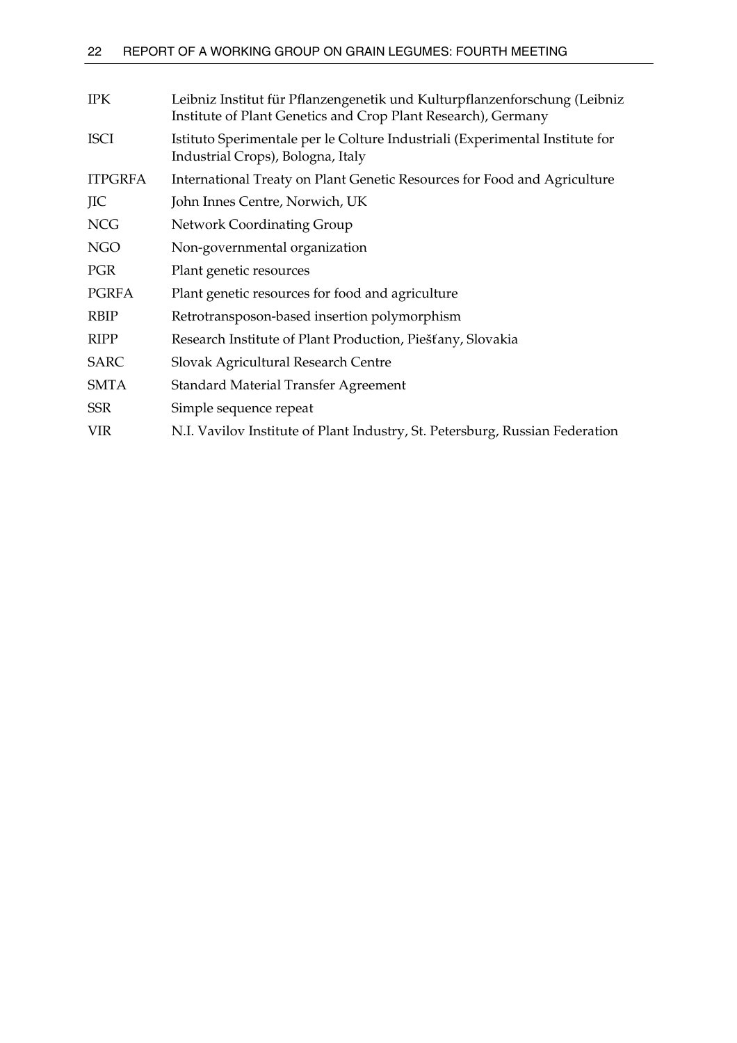| <b>IPK</b>     | Leibniz Institut für Pflanzengenetik und Kulturpflanzenforschung (Leibniz<br>Institute of Plant Genetics and Crop Plant Research), Germany |
|----------------|--------------------------------------------------------------------------------------------------------------------------------------------|
| <b>ISCI</b>    | Istituto Sperimentale per le Colture Industriali (Experimental Institute for<br>Industrial Crops), Bologna, Italy                          |
| <b>ITPGRFA</b> | International Treaty on Plant Genetic Resources for Food and Agriculture                                                                   |
| JIC            | John Innes Centre, Norwich, UK                                                                                                             |
| <b>NCG</b>     | Network Coordinating Group                                                                                                                 |
| <b>NGO</b>     | Non-governmental organization                                                                                                              |
| <b>PGR</b>     | Plant genetic resources                                                                                                                    |
| <b>PGRFA</b>   | Plant genetic resources for food and agriculture                                                                                           |
| <b>RBIP</b>    | Retrotransposon-based insertion polymorphism                                                                                               |
| <b>RIPP</b>    | Research Institute of Plant Production, Piešťany, Slovakia                                                                                 |
| SARC           | Slovak Agricultural Research Centre                                                                                                        |
| <b>SMTA</b>    | Standard Material Transfer Agreement                                                                                                       |
| <b>SSR</b>     | Simple sequence repeat                                                                                                                     |
| <b>VIR</b>     | N.I. Vavilov Institute of Plant Industry, St. Petersburg, Russian Federation                                                               |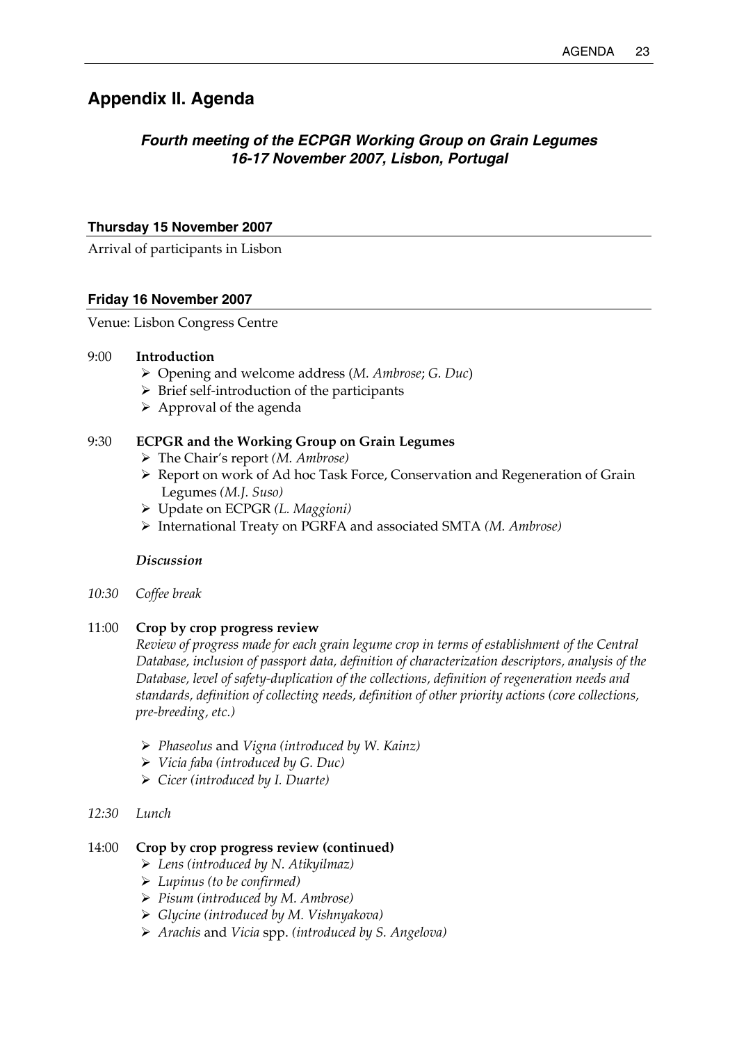# **Appendix II. Agenda**

# *Fourth meeting of the ECPGR Working Group on Grain Legumes 16-17 November 2007, Lisbon, Portugal*

## **Thursday 15 November 2007**

Arrival of participants in Lisbon

## **Friday 16 November 2007**

Venue: Lisbon Congress Centre

### 9:00 **Introduction**

- ¾ Opening and welcome address (*M. Ambrose*; *G. Duc*)
- $\triangleright$  Brief self-introduction of the participants
- $\triangleright$  Approval of the agenda

## 9:30 **ECPGR and the Working Group on Grain Legumes**

- ¾ The Chair's report *(M. Ambrose)*
- ¾ Report on work of Ad hoc Task Force, Conservation and Regeneration of Grain Legumes *(M.J. Suso)*
- ¾ Update on ECPGR *(L. Maggioni)*
- ¾ International Treaty on PGRFA and associated SMTA *(M. Ambrose)*

### *Discussion*

*10:30 Coffee break* 

## 11:00 **Crop by crop progress review**

 *Review of progress made for each grain legume crop in terms of establishment of the Central Database, inclusion of passport data, definition of characterization descriptors, analysis of the Database, level of safety-duplication of the collections, definition of regeneration needs and standards, definition of collecting needs, definition of other priority actions (core collections, pre-breeding, etc.)* 

- ¾ *Phaseolus* and *Vigna (introduced by W. Kainz)*
- ¾ *Vicia faba (introduced by G. Duc)*
- ¾ *Cicer (introduced by I. Duarte)*

## *12:30 Lunch*

## 14:00 **Crop by crop progress review (continued)**

- ¾ *Lens (introduced by N. Atikyilmaz)*
- ¾ *Lupinus (to be confirmed)*
- ¾ *Pisum (introduced by M. Ambrose)*
- ¾ *Glycine (introduced by M. Vishnyakova)*
- ¾ *Arachis* and *Vicia* spp. *(introduced by S. Angelova)*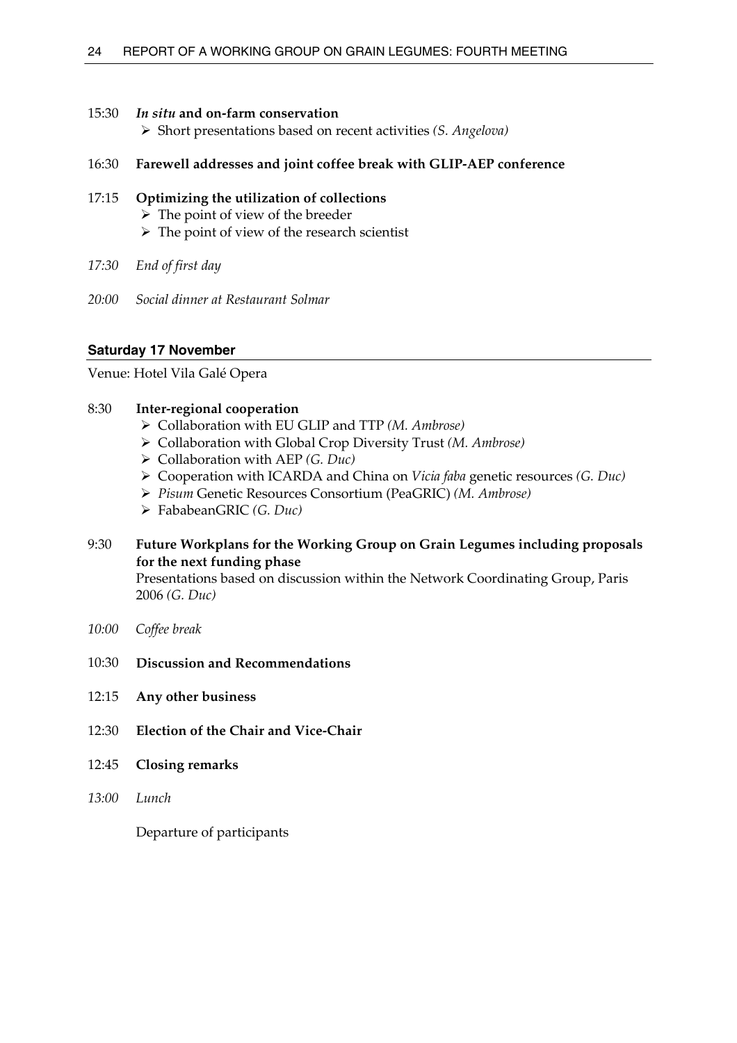## 15:30 *In situ* **and on-farm conservation**

¾ Short presentations based on recent activities *(S. Angelova)*

## 16:30 **Farewell addresses and joint coffee break with GLIP-AEP conference**

# 17:15 **Optimizing the utilization of collections**

- $\triangleright$  The point of view of the breeder
- $\triangleright$  The point of view of the research scientist
- *17:30 End of first day*
- *20:00 Social dinner at Restaurant Solmar*

## **Saturday 17 November**

Venue: Hotel Vila Galé Opera

## 8:30 **Inter-regional cooperation**

- ¾ Collaboration with EU GLIP and TTP *(M. Ambrose)*
- ¾ Collaboration with Global Crop Diversity Trust *(M. Ambrose)*
- ¾ Collaboration with AEP *(G. Duc)*
- ¾ Cooperation with ICARDA and China on *Vicia faba* genetic resources *(G. Duc)*
- ¾ *Pisum* Genetic Resources Consortium (PeaGRIC) *(M. Ambrose)*
- ¾ FababeanGRIC *(G. Duc)*
- 9:30 **Future Workplans for the Working Group on Grain Legumes including proposals for the next funding phase**

 Presentations based on discussion within the Network Coordinating Group, Paris 2006 *(G. Duc)*

- *10:00 Coffee break*
- 10:30 **Discussion and Recommendations**
- 12:15 **Any other business**
- 12:30 **Election of the Chair and Vice-Chair**
- 12:45 **Closing remarks**
- *13:00 Lunch*

Departure of participants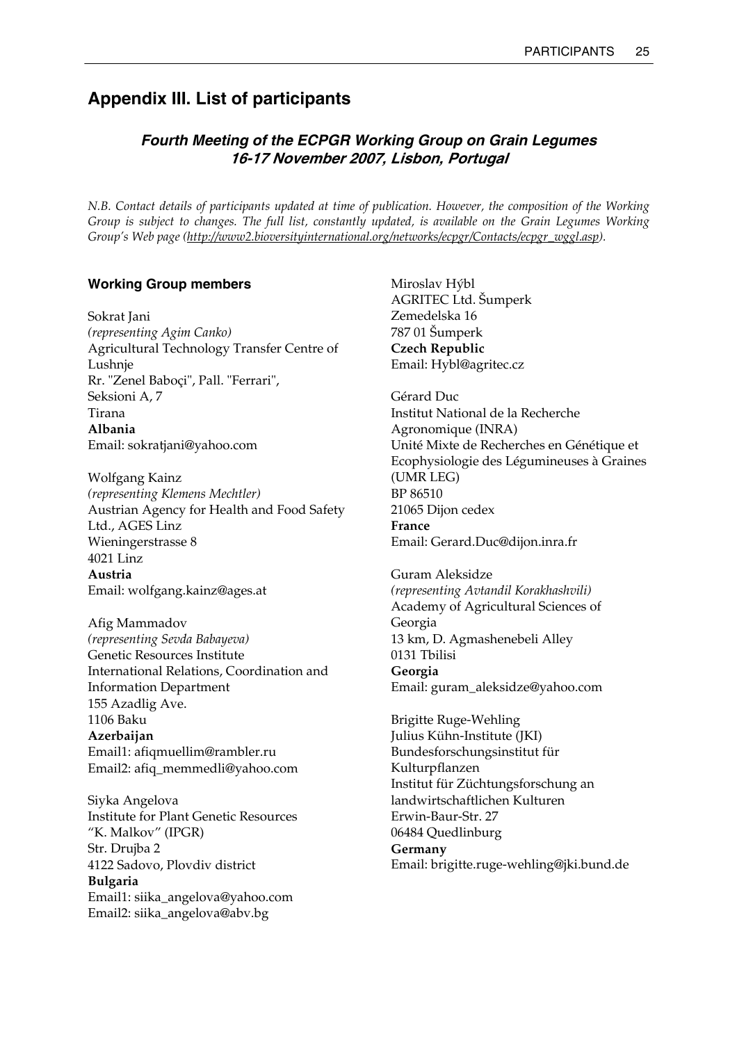# **Appendix III. List of participants**

# *Fourth Meeting of the ECPGR Working Group on Grain Legumes*  **16-17 November 2007, Lisbon, Portugal**

*N.B. Contact details of participants updated at time of publication. However, the composition of the Working Group is subject to changes. The full list, constantly updated, is available on the Grain Legumes Working Group's Web page (http://www2.bioversityinternational.org/networks/ecpgr/Contacts/ecpgr\_wggl.asp).* 

## **Working Group members**

Sokrat Jani *(representing Agim Canko)*  Agricultural Technology Transfer Centre of Lushnje Rr. "Zenel Baboçi", Pall. "Ferrari", Seksioni A, 7 Tirana **Albania**  Email: sokratjani@yahoo.com

Wolfgang Kainz *(representing Klemens Mechtler)*  Austrian Agency for Health and Food Safety Ltd., AGES Linz Wieningerstrasse 8 4021 Linz **Austria**  Email: wolfgang.kainz@ages.at

Afig Mammadov *(representing Sevda Babayeva)*  Genetic Resources Institute International Relations, Coordination and Information Department 155 Azadlig Ave. 1106 Baku **Azerbaijan**  Email1: afiqmuellim@rambler.ru Email2: afiq\_memmedli@yahoo.com

Siyka Angelova Institute for Plant Genetic Resources "K. Malkov" (IPGR) Str. Drujba 2 4122 Sadovo, Plovdiv district **Bulgaria**  Email1: siika\_angelova@yahoo.com Email2: siika\_angelova@abv.bg

Miroslav Hýbl AGRITEC Ltd. Šumperk Zemedelska 16 787 01 Šumperk **Czech Republic**  Email: Hybl@agritec.cz

Gérard Duc Institut National de la Recherche Agronomique (INRA) Unité Mixte de Recherches en Génétique et Ecophysiologie des Légumineuses à Graines (UMR LEG) BP 86510 21065 Dijon cedex **France**  Email: Gerard.Duc@dijon.inra.fr

Guram Aleksidze *(representing Avtandil Korakhashvili)*  Academy of Agricultural Sciences of Georgia 13 km, D. Agmashenebeli Alley 0131 Tbilisi **Georgia**  Email: guram\_aleksidze@yahoo.com

Brigitte Ruge-Wehling Julius Kühn-Institute (JKI) Bundesforschungsinstitut für Kulturpflanzen Institut für Züchtungsforschung an landwirtschaftlichen Kulturen Erwin-Baur-Str. 27 06484 Quedlinburg **Germany**  Email: brigitte.ruge-wehling@jki.bund.de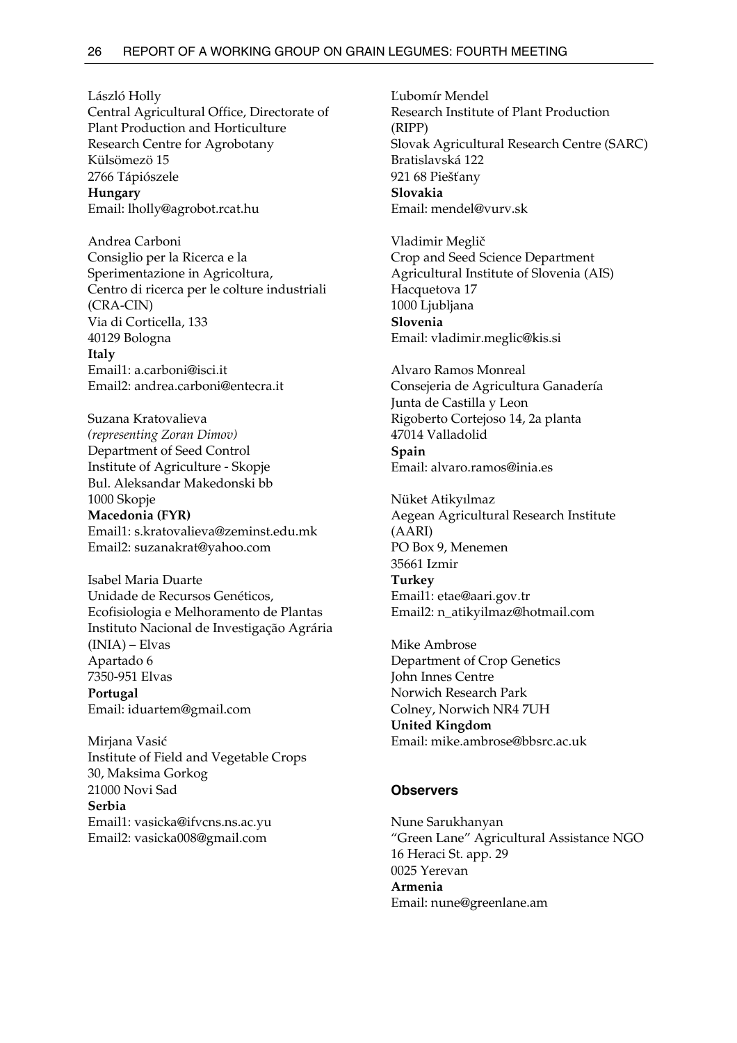László Holly Central Agricultural Office, Directorate of Plant Production and Horticulture Research Centre for Agrobotany Külsömezö 15 2766 Tápiószele **Hungary**  Email: lholly@agrobot.rcat.hu

Andrea Carboni Consiglio per la Ricerca e la Sperimentazione in Agricoltura, Centro di ricerca per le colture industriali (CRA-CIN) Via di Corticella, 133 40129 Bologna **Italy**  Email1: a.carboni@isci.it Email2: andrea.carboni@entecra.it

Suzana Kratovalieva *(representing Zoran Dimov)*  Department of Seed Control Institute of Agriculture - Skopje Bul. Aleksandar Makedonski bb 1000 Skopje

**Macedonia (FYR)**  Email1: s.kratovalieva@zeminst.edu.mk Email2: suzanakrat@yahoo.com

Isabel Maria Duarte Unidade de Recursos Genéticos, Ecofisiologia e Melhoramento de Plantas Instituto Nacional de Investigação Agrária (INIA) – Elvas Apartado 6 7350-951 Elvas **Portugal**  Email: iduartem@gmail.com

Mirjana Vasić Institute of Field and Vegetable Crops 30, Maksima Gorkog 21000 Novi Sad **Serbia**  Email1: vasicka@ifvcns.ns.ac.yu Email2: vasicka008@gmail.com

Ľubomír Mendel Research Institute of Plant Production (RIPP) Slovak Agricultural Research Centre (SARC) Bratislavská 122 921 68 Piešťany **Slovakia**  Email: mendel@vurv.sk

Vladimir Meglič Crop and Seed Science Department Agricultural Institute of Slovenia (AIS) Hacquetova 17 1000 Ljubljana **Slovenia**  Email: vladimir.meglic@kis.si

Alvaro Ramos Monreal Consejeria de Agricultura Ganadería Junta de Castilla y Leon Rigoberto Cortejoso 14, 2a planta 47014 Valladolid **Spain**  Email: alvaro.ramos@inia.es

Nüket Atikyılmaz Aegean Agricultural Research Institute (AARI) PO Box 9, Menemen 35661 Izmir **Turkey**  Email1: etae@aari.gov.tr Email2: n\_atikyilmaz@hotmail.com

Mike Ambrose Department of Crop Genetics John Innes Centre Norwich Research Park Colney, Norwich NR4 7UH **United Kingdom**  Email: mike.ambrose@bbsrc.ac.uk

#### **Observers**

Nune Sarukhanyan "Green Lane" Agricultural Assistance NGO 16 Heraci St. app. 29 0025 Yerevan **Armenia**  Email: nune@greenlane.am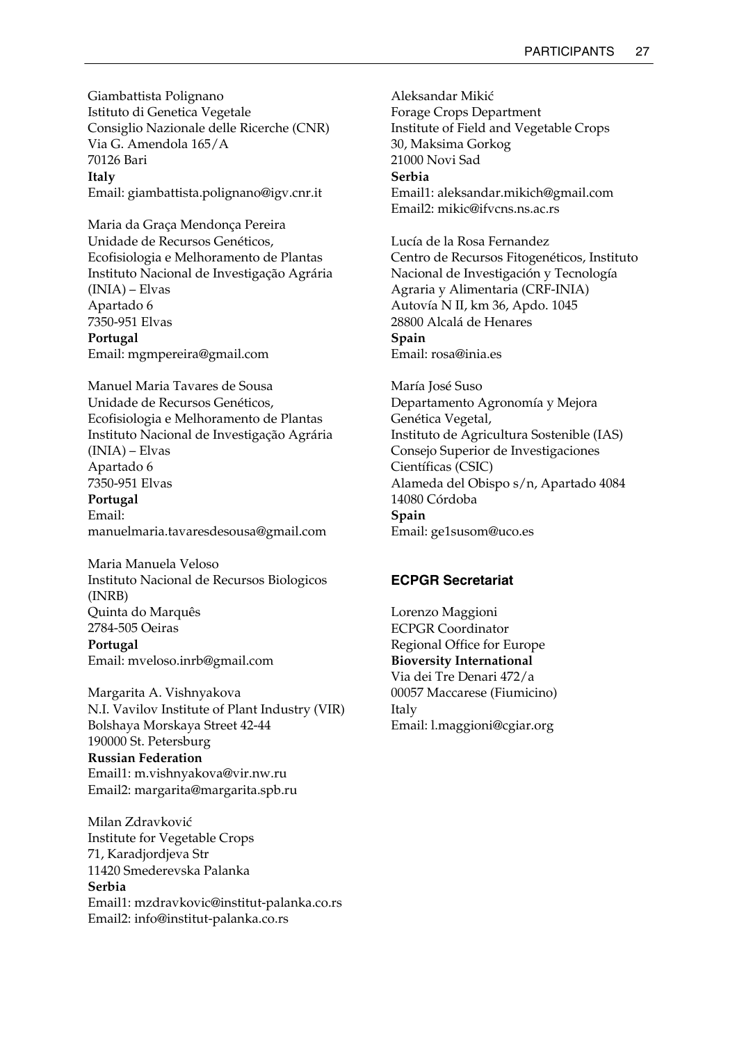Giambattista Polignano Istituto di Genetica Vegetale Consiglio Nazionale delle Ricerche (CNR) Via G. Amendola 165/A 70126 Bari **Italy**  Email: giambattista.polignano@igv.cnr.it

Maria da Graça Mendonça Pereira Unidade de Recursos Genéticos, Ecofisiologia e Melhoramento de Plantas Instituto Nacional de Investigação Agrária (INIA) – Elvas Apartado 6 7350-951 Elvas **Portugal**  Email: mgmpereira@gmail.com

Manuel Maria Tavares de Sousa Unidade de Recursos Genéticos, Ecofisiologia e Melhoramento de Plantas Instituto Nacional de Investigação Agrária (INIA) – Elvas Apartado 6 7350-951 Elvas

**Portugal**  Email: manuelmaria.tavaresdesousa@gmail.com

Maria Manuela Veloso Instituto Nacional de Recursos Biologicos (INRB) Quinta do Marquês 2784-505 Oeiras **Portugal**  Email: mveloso.inrb@gmail.com

Margarita A. Vishnyakova N.I. Vavilov Institute of Plant Industry (VIR) Bolshaya Morskaya Street 42-44 190000 St. Petersburg **Russian Federation**  Email1: m.vishnyakova@vir.nw.ru Email2: margarita@margarita.spb.ru

Milan Zdravković Institute for Vegetable Crops 71, Karadjordjeva Str 11420 Smederevska Palanka **Serbia**  Email1: mzdravkovic@institut-palanka.co.rs Email2: info@institut-palanka.co.rs

Aleksandar Mikić Forage Crops Department Institute of Field and Vegetable Crops 30, Maksima Gorkog 21000 Novi Sad **Serbia**  Email1: aleksandar.mikich@gmail.com Email2: mikic@ifvcns.ns.ac.rs

Lucía de la Rosa Fernandez Centro de Recursos Fitogenéticos, Instituto Nacional de Investigación y Tecnología Agraria y Alimentaria (CRF-INIA) Autovía N II, km 36, Apdo. 1045 28800 Alcalá de Henares **Spain**  Email: rosa@inia.es

María José Suso Departamento Agronomía y Mejora Genética Vegetal, Instituto de Agricultura Sostenible (IAS) Consejo Superior de Investigaciones Científicas (CSIC) Alameda del Obispo s/n, Apartado 4084 14080 Córdoba **Spain**  Email: ge1susom@uco.es

# **ECPGR Secretariat**

Lorenzo Maggioni ECPGR Coordinator Regional Office for Europe **Bioversity International**  Via dei Tre Denari 472/a 00057 Maccarese (Fiumicino) Italy Email: l.maggioni@cgiar.org